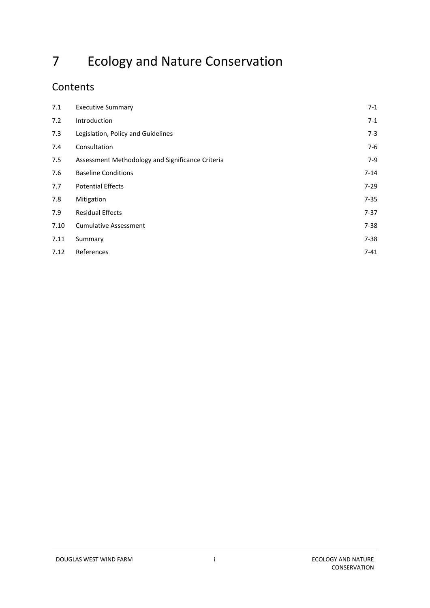# 7 Ecology and Nature Conservation

# **Contents**

| 7.1  | <b>Executive Summary</b>                         | $7 - 1$  |
|------|--------------------------------------------------|----------|
| 7.2  | Introduction                                     | $7-1$    |
| 7.3  | Legislation, Policy and Guidelines               | $7 - 3$  |
| 7.4  | Consultation                                     | $7-6$    |
| 7.5  | Assessment Methodology and Significance Criteria | $7-9$    |
| 7.6  | <b>Baseline Conditions</b>                       | $7 - 14$ |
| 7.7  | <b>Potential Effects</b>                         | $7-29$   |
| 7.8  | Mitigation                                       | $7 - 35$ |
| 7.9  | <b>Residual Effects</b>                          | $7-37$   |
| 7.10 | <b>Cumulative Assessment</b>                     | $7 - 38$ |
| 7.11 | Summary                                          | $7 - 38$ |
| 7.12 | References                                       | $7 - 41$ |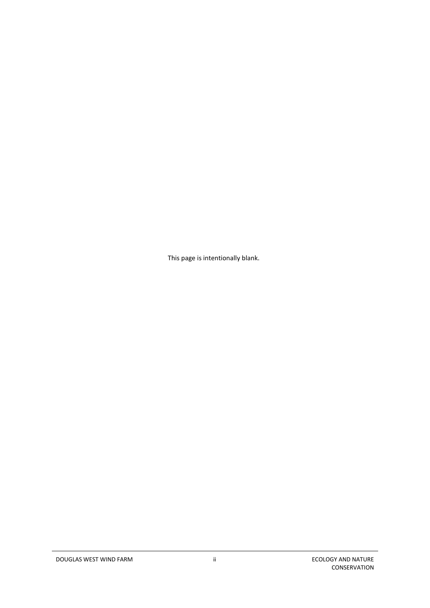This page is intentionally blank.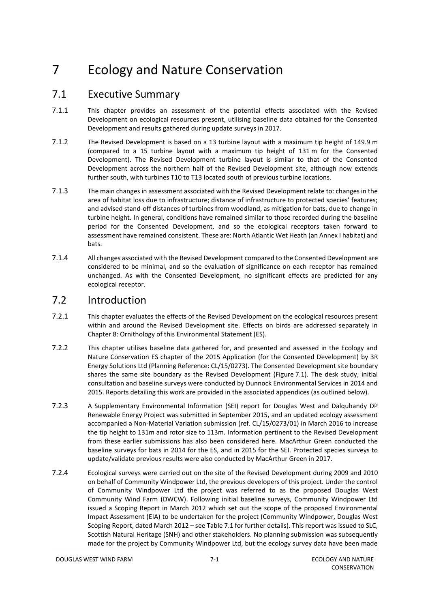# 7 Ecology and Nature Conservation

# <span id="page-2-0"></span>7.1 Executive Summary

- 7.1.1 This chapter provides an assessment of the potential effects associated with the Revised Development on ecological resources present, utilising baseline data obtained for the Consented Development and results gathered during update surveys in 2017.
- 7.1.2 The Revised Development is based on a 13 turbine layout with a maximum tip height of 149.9 m (compared to a 15 turbine layout with a maximum tip height of 131 m for the Consented Development). The Revised Development turbine layout is similar to that of the Consented Development across the northern half of the Revised Development site, although now extends further south, with turbines T10 to T13 located south of previous turbine locations.
- 7.1.3 The main changes in assessment associated with the Revised Development relate to: changes in the area of habitat loss due to infrastructure; distance of infrastructure to protected species' features; and advised stand-off distances of turbines from woodland, as mitigation for bats, due to change in turbine height. In general, conditions have remained similar to those recorded during the baseline period for the Consented Development, and so the ecological receptors taken forward to assessment have remained consistent. These are: North Atlantic Wet Heath (an Annex I habitat) and bats.
- 7.1.4 All changes associated with the Revised Development compared to the Consented Development are considered to be minimal, and so the evaluation of significance on each receptor has remained unchanged. As with the Consented Development, no significant effects are predicted for any ecological receptor.

# <span id="page-2-1"></span>7.2 Introduction

- 7.2.1 This chapter evaluates the effects of the Revised Development on the ecological resources present within and around the Revised Development site. Effects on birds are addressed separately in Chapter 8: Ornithology of this Environmental Statement (ES).
- 7.2.2 This chapter utilises baseline data gathered for, and presented and assessed in the Ecology and Nature Conservation ES chapter of the 2015 Application (for the Consented Development) by 3R Energy Solutions Ltd (Planning Reference: CL/15/0273). The Consented Development site boundary shares the same site boundary as the Revised Development (Figure 7.1). The desk study, initial consultation and baseline surveys were conducted by Dunnock Environmental Services in 2014 and 2015. Reports detailing this work are provided in the associated appendices (as outlined below).
- 7.2.3 A Supplementary Environmental Information (SEI) report for Douglas West and Dalquhandy DP Renewable Energy Project was submitted in September 2015, and an updated ecology assessment accompanied a Non-Material Variation submission (ref. CL/15/0273/01) in March 2016 to increase the tip height to 131m and rotor size to 113m. Information pertinent to the Revised Development from these earlier submissions has also been considered here. MacArthur Green conducted the baseline surveys for bats in 2014 for the ES, and in 2015 for the SEI. Protected species surveys to update/validate previous results were also conducted by MacArthur Green in 2017.
- 7.2.4 Ecological surveys were carried out on the site of the Revised Development during 2009 and 2010 on behalf of Community Windpower Ltd, the previous developers of this project. Under the control of Community Windpower Ltd the project was referred to as the proposed Douglas West Community Wind Farm (DWCW). Following initial baseline surveys, Community Windpower Ltd issued a Scoping Report in March 2012 which set out the scope of the proposed Environmental Impact Assessment (EIA) to be undertaken for the project (Community Windpower, Douglas West Scoping Report, dated March 2012 – see Table 7.1 for further details). This report was issued to SLC, Scottish Natural Heritage (SNH) and other stakeholders. No planning submission was subsequently made for the project by Community Windpower Ltd, but the ecology survey data have been made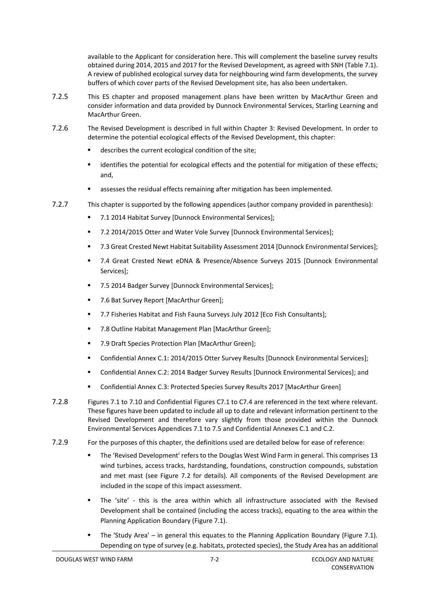available to the Applicant for consideration here. This will complement the baseline survey results obtained during 2014, 2015 and 2017 for the Revised Development, as agreed with SNH [\(Table 7.1\)](#page-7-1). A review of published ecological survey data for neighbouring wind farm developments, the survey buffers of which cover parts of the Revised Development site, has also been undertaken.

- 7.2.5 This ES chapter and proposed management plans have been written by MacArthur Green and consider information and data provided by Dunnock Environmental Services, Starling Learning and MacArthur Green.
- 7.2.6 The Revised Development is described in full within Chapter 3: Revised Development. In order to determine the potential ecological effects of the Revised Development, this chapter:
	- describes the current ecological condition of the site;
	- identifies the potential for ecological effects and the potential for mitigation of these effects; and,
	- assesses the residual effects remaining after mitigation has been implemented.
- 7.2.7 This chapter is supported by the following appendices (author company provided in parenthesis):
	- 7.1 2014 Habitat Survey [Dunnock Environmental Services];
	- 7.2 2014/2015 Otter and Water Vole Survey [Dunnock Environmental Services];
	- 7.3 Great Crested Newt Habitat Suitability Assessment 2014 [Dunnock Environmental Services];
	- 7.4 Great Crested Newt eDNA & Presence/Absence Surveys 2015 [Dunnock Environmental Services];
	- 7.5 2014 Badger Survey [Dunnock Environmental Services];
	- 7.6 Bat Survey Report [MacArthur Green];
	- 7.7 Fisheries Habitat and Fish Fauna Surveys July 2012 [Eco Fish Consultants]:
	- 7.8 Outline Habitat Management Plan [MacArthur Green];
	- 7.9 Draft Species Protection Plan [MacArthur Green];
	- Confidential Annex C.1: 2014/2015 Otter Survey Results [Dunnock Environmental Services];
	- Confidential Annex C.2: 2014 Badger Survey Results [Dunnock Environmental Services]; and
	- Confidential Annex C.3: Protected Species Survey Results 2017 [MacArthur Green]
- 7.2.8 Figures 7.1 to 7.10 and Confidential Figures C7.1 to C7.4 are referenced in the text where relevant. These figures have been updated to include all up to date and relevant information pertinent to the Revised Development and therefore vary slightly from those provided within the Dunnock Environmental Services Appendices 7.1 to 7.5 and Confidential Annexes C.1 and C.2.
- 7.2.9 For the purposes of this chapter, the definitions used are detailed below for ease of reference:
	- **The 'Revised Development' refers to the Douglas West Wind Farm in general. This comprises 13** wind turbines, access tracks, hardstanding, foundations, construction compounds, substation and met mast (see Figure 7.2 for details). All components of the Revised Development are included in the scope of this impact assessment.
	- The 'site' this is the area within which all infrastructure associated with the Revised Development shall be contained (including the access tracks), equating to the area within the Planning Application Boundary (Figure 7.1).
	- The 'Study Area' in general this equates to the Planning Application Boundary (Figure 7.1). Depending on type of survey (e.g. habitats, protected species), the Study Area has an additional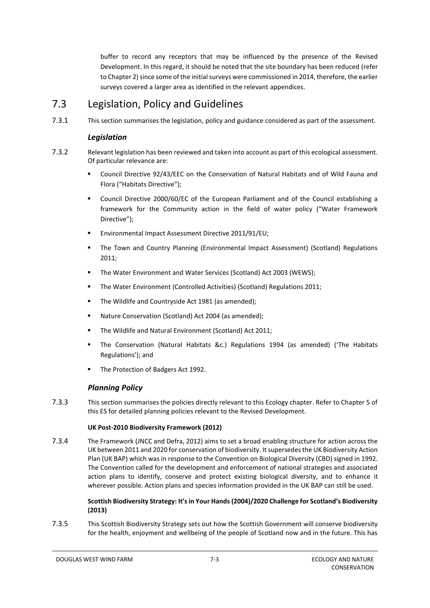buffer to record any receptors that may be influenced by the presence of the Revised Development. In this regard, it should be noted that the site boundary has been reduced (refer to Chapter 2) since some of the initial surveys were commissioned in 2014, therefore, the earlier surveys covered a larger area as identified in the relevant appendices.

# <span id="page-4-0"></span>7.3 Legislation, Policy and Guidelines

7.3.1 This section summarises the legislation, policy and guidance considered as part of the assessment.

# *Legislation*

- 7.3.2 Relevant legislation has been reviewed and taken into account as part of this ecological assessment. Of particular relevance are:
	- Council Directive 92/43/EEC on the Conservation of Natural Habitats and of Wild Fauna and Flora ("Habitats Directive");
	- Council Directive 2000/60/EC of the European Parliament and of the Council establishing a framework for the Community action in the field of water policy ("Water Framework Directive");
	- Environmental Impact Assessment Directive 2011/91/EU;
	- The Town and Country Planning (Environmental Impact Assessment) (Scotland) Regulations 2011;
	- **The Water Environment and Water Services (Scotland) Act 2003 (WEWS);**
	- The Water Environment (Controlled Activities) (Scotland) Regulations 2011;
	- **The Wildlife and Countryside Act 1981 (as amended);**
	- Nature Conservation (Scotland) Act 2004 (as amended);
	- The Wildlife and Natural Environment (Scotland) Act 2011;
	- The Conservation (Natural Habitats &c.) Regulations 1994 (as amended) ('The Habitats Regulations'); and
	- The Protection of Badgers Act 1992.

# *Planning Policy*

7.3.3 This section summarises the policies directly relevant to this Ecology chapter. Refer to Chapter 5 of this ES for detailed planning policies relevant to the Revised Development.

# **UK Post-2010 Biodiversity Framework (2012)**

7.3.4 The Framework (JNCC and Defra, 2012) aims to set a broad enabling structure for action across the UK between 2011 and 2020 for conservation of biodiversity. It supersedes the UK Biodiversity Action Plan (UK BAP) which was in response to the Convention on Biological Diversity (CBD) signed in 1992. The Convention called for the development and enforcement of national strategies and associated action plans to identify, conserve and protect existing biological diversity, and to enhance it wherever possible. Action plans and species information provided in the UK BAP can still be used.

# **Scottish Biodiversity Strategy: It's in Your Hands (2004)/2020 Challenge for Scotland's Biodiversity (2013)**

7.3.5 This Scottish Biodiversity Strategy sets out how the Scottish Government will conserve biodiversity for the health, enjoyment and wellbeing of the people of Scotland now and in the future. This has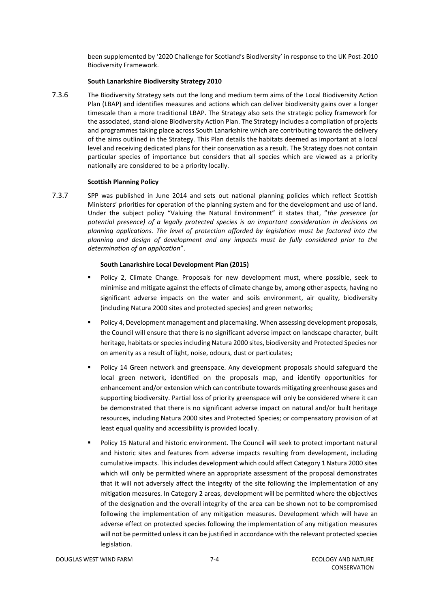been supplemented by '2020 Challenge for Scotland's Biodiversity' in response to the UK Post-2010 Biodiversity Framework.

#### **South Lanarkshire Biodiversity Strategy 2010**

7.3.6 The Biodiversity Strategy sets out the long and medium term aims of the Local Biodiversity Action Plan (LBAP) and identifies measures and actions which can deliver biodiversity gains over a longer timescale than a more traditional LBAP. The Strategy also sets the strategic policy framework for the associated, stand-alone Biodiversity Action Plan. The Strategy includes a compilation of projects and programmes taking place across South Lanarkshire which are contributing towards the delivery of the aims outlined in the Strategy. This Plan details the habitats deemed as important at a local level and receiving dedicated plans for their conservation as a result. The Strategy does not contain particular species of importance but considers that all species which are viewed as a priority nationally are considered to be a priority locally.

#### **Scottish Planning Policy**

7.3.7 SPP was published in June 2014 and sets out national planning policies which reflect Scottish Ministers' priorities for operation of the planning system and for the development and use of land. Under the subject policy "Valuing the Natural Environment" it states that, "*the presence (or potential presence) of a legally protected species is an important consideration in decisions on planning applications. The level of protection afforded by legislation must be factored into the planning and design of development and any impacts must be fully considered prior to the determination of an application*".

#### **South Lanarkshire Local Development Plan (2015)**

- **Policy 2, Climate Change. Proposals for new development must, where possible, seek to** minimise and mitigate against the effects of climate change by, among other aspects, having no significant adverse impacts on the water and soils environment, air quality, biodiversity (including Natura 2000 sites and protected species) and green networks;
- Policy 4, Development management and placemaking. When assessing development proposals, the Council will ensure that there is no significant adverse impact on landscape character, built heritage, habitats or species including Natura 2000 sites, biodiversity and Protected Species nor on amenity as a result of light, noise, odours, dust or particulates;
- Policy 14 Green network and greenspace. Any development proposals should safeguard the local green network, identified on the proposals map, and identify opportunities for enhancement and/or extension which can contribute towards mitigating greenhouse gases and supporting biodiversity. Partial loss of priority greenspace will only be considered where it can be demonstrated that there is no significant adverse impact on natural and/or built heritage resources, including Natura 2000 sites and Protected Species; or compensatory provision of at least equal quality and accessibility is provided locally.
- Policy 15 Natural and historic environment. The Council will seek to protect important natural and historic sites and features from adverse impacts resulting from development, including cumulative impacts. This includes development which could affect Category 1 Natura 2000 sites which will only be permitted where an appropriate assessment of the proposal demonstrates that it will not adversely affect the integrity of the site following the implementation of any mitigation measures. In Category 2 areas, development will be permitted where the objectives of the designation and the overall integrity of the area can be shown not to be compromised following the implementation of any mitigation measures. Development which will have an adverse effect on protected species following the implementation of any mitigation measures will not be permitted unless it can be justified in accordance with the relevant protected species legislation.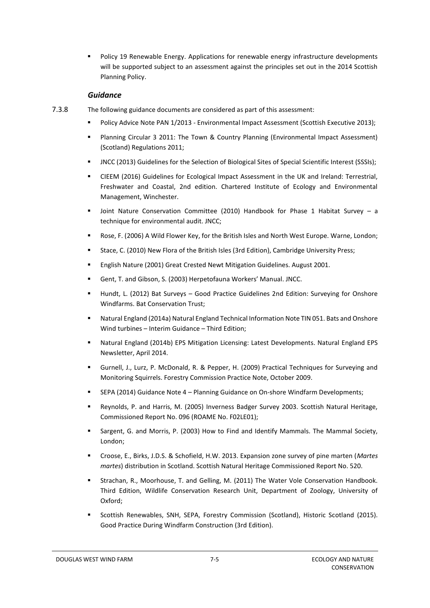**Policy 19 Renewable Energy. Applications for renewable energy infrastructure developments** will be supported subject to an assessment against the principles set out in the 2014 Scottish Planning Policy.

# *Guidance*

- 7.3.8 The following guidance documents are considered as part of this assessment:
	- Policy Advice Note PAN 1/2013 Environmental Impact Assessment (Scottish Executive 2013);
	- Planning Circular 3 2011: The Town & Country Planning (Environmental Impact Assessment) (Scotland) Regulations 2011;
	- JNCC (2013) Guidelines for the Selection of Biological Sites of Special Scientific Interest (SSSIs);
	- CIEEM (2016) Guidelines for Ecological Impact Assessment in the UK and Ireland: Terrestrial, Freshwater and Coastal, 2nd edition. Chartered Institute of Ecology and Environmental Management, Winchester.
	- Joint Nature Conservation Committee (2010) Handbook for Phase 1 Habitat Survey a technique for environmental audit. JNCC;
	- Rose, F. (2006) A Wild Flower Key, for the British Isles and North West Europe. Warne, London;
	- Stace, C. (2010) New Flora of the British Isles (3rd Edition), Cambridge University Press;
	- English Nature (2001) Great Crested Newt Mitigation Guidelines. August 2001.
	- Gent, T. and Gibson, S. (2003) Herpetofauna Workers' Manual. JNCC.
	- Hundt, L. (2012) Bat Surveys Good Practice Guidelines 2nd Edition: Surveying for Onshore Windfarms. Bat Conservation Trust;
	- Natural England (2014a) Natural England Technical Information Note TIN 051. Bats and Onshore Wind turbines – Interim Guidance – Third Edition;
	- Natural England (2014b) EPS Mitigation Licensing: Latest Developments. Natural England EPS Newsletter, April 2014.
	- Gurnell, J., Lurz, P. McDonald, R. & Pepper, H. (2009) Practical Techniques for Surveying and Monitoring Squirrels. Forestry Commission Practice Note, October 2009.
	- SEPA (2014) Guidance Note 4 Planning Guidance on On-shore Windfarm Developments;
	- Reynolds, P. and Harris, M. (2005) Inverness Badger Survey 2003. Scottish Natural Heritage, Commissioned Report No. 096 (ROAME No. F02LE01);
	- Sargent, G. and Morris, P. (2003) How to Find and Identify Mammals. The Mammal Society, London;
	- Croose, E., Birks, J.D.S. & Schofield, H.W. 2013. Expansion zone survey of pine marten (*Martes martes*) distribution in Scotland. Scottish Natural Heritage Commissioned Report No. 520.
	- Strachan, R., Moorhouse, T. and Gelling, M. (2011) The Water Vole Conservation Handbook. Third Edition, Wildlife Conservation Research Unit, Department of Zoology, University of Oxford;
	- Scottish Renewables, SNH, SEPA, Forestry Commission (Scotland), Historic Scotland (2015). Good Practice During Windfarm Construction (3rd Edition).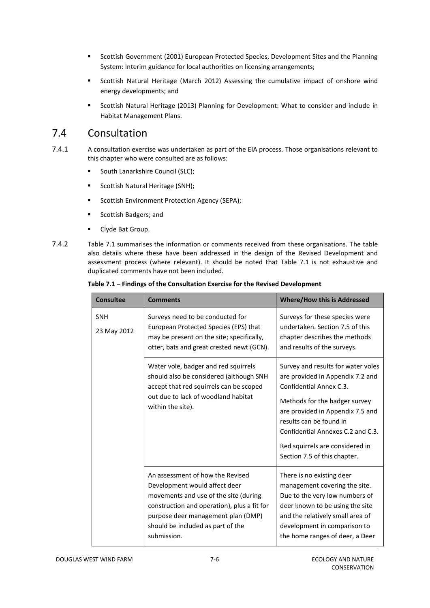- **Scottish Government (2001) European Protected Species, Development Sites and the Planning** System: Interim guidance for local authorities on licensing arrangements;
- **Scottish Natural Heritage (March 2012) Assessing the cumulative impact of onshore wind** energy developments; and
- Scottish Natural Heritage (2013) Planning for Development: What to consider and include in Habitat Management Plans.

# <span id="page-7-0"></span>7.4 Consultation

- 7.4.1 A consultation exercise was undertaken as part of the EIA process. Those organisations relevant to this chapter who were consulted are as follows:
	- **South Lanarkshire Council (SLC);**
	- Scottish Natural Heritage (SNH);
	- **Scottish Environment Protection Agency (SEPA);**
	- **Scottish Badgers; and**
	- Clyde Bat Group.
- 7.4.2 [Table 7.1](#page-7-1) summarises the information or comments received from these organisations. The table also details where these have been addressed in the design of the Revised Development and assessment process (where relevant). It should be noted that [Table 7.1](#page-7-1) is not exhaustive and duplicated comments have not been included.

<span id="page-7-1"></span>**Table 7.1 – Findings of the Consultation Exercise for the Revised Development**

| <b>Consultee</b>          | <b>Comments</b>                                                                                                                                                                                                                                     | <b>Where/How this is Addressed</b>                                                                                                                                                                                                                                                                        |  |
|---------------------------|-----------------------------------------------------------------------------------------------------------------------------------------------------------------------------------------------------------------------------------------------------|-----------------------------------------------------------------------------------------------------------------------------------------------------------------------------------------------------------------------------------------------------------------------------------------------------------|--|
| <b>SNH</b><br>23 May 2012 | Surveys need to be conducted for<br>European Protected Species (EPS) that<br>may be present on the site; specifically,<br>otter, bats and great crested newt (GCN).                                                                                 | Surveys for these species were<br>undertaken. Section 7.5 of this<br>chapter describes the methods<br>and results of the surveys.                                                                                                                                                                         |  |
|                           | Water vole, badger and red squirrels<br>should also be considered (although SNH<br>accept that red squirrels can be scoped<br>out due to lack of woodland habitat<br>within the site).                                                              | Survey and results for water voles<br>are provided in Appendix 7.2 and<br>Confidential Annex C.3.<br>Methods for the badger survey<br>are provided in Appendix 7.5 and<br>results can be found in<br>Confidential Annexes C.2 and C.3.<br>Red squirrels are considered in<br>Section 7.5 of this chapter. |  |
|                           | An assessment of how the Revised<br>Development would affect deer<br>movements and use of the site (during<br>construction and operation), plus a fit for<br>purpose deer management plan (DMP)<br>should be included as part of the<br>submission. | There is no existing deer<br>management covering the site.<br>Due to the very low numbers of<br>deer known to be using the site<br>and the relatively small area of<br>development in comparison to<br>the home ranges of deer, a Deer                                                                    |  |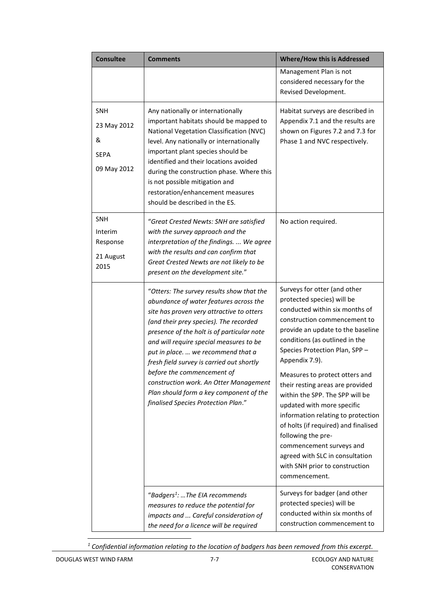| <b>Consultee</b>                                              | <b>Comments</b>                                                                                                                                                                                                                                                                                                                                                                                                                                                                                                  | <b>Where/How this is Addressed</b>                                                                                                                                                                                                                                                                                                                                                                                                                                                                                                                                                                                   |  |
|---------------------------------------------------------------|------------------------------------------------------------------------------------------------------------------------------------------------------------------------------------------------------------------------------------------------------------------------------------------------------------------------------------------------------------------------------------------------------------------------------------------------------------------------------------------------------------------|----------------------------------------------------------------------------------------------------------------------------------------------------------------------------------------------------------------------------------------------------------------------------------------------------------------------------------------------------------------------------------------------------------------------------------------------------------------------------------------------------------------------------------------------------------------------------------------------------------------------|--|
|                                                               |                                                                                                                                                                                                                                                                                                                                                                                                                                                                                                                  | Management Plan is not<br>considered necessary for the<br>Revised Development.                                                                                                                                                                                                                                                                                                                                                                                                                                                                                                                                       |  |
| <b>SNH</b><br>23 May 2012<br>&<br><b>SEPA</b><br>09 May 2012  | Any nationally or internationally<br>important habitats should be mapped to<br>National Vegetation Classification (NVC)<br>level. Any nationally or internationally<br>important plant species should be<br>identified and their locations avoided<br>during the construction phase. Where this<br>is not possible mitigation and<br>restoration/enhancement measures<br>should be described in the ES.                                                                                                          | Habitat surveys are described in<br>Appendix 7.1 and the results are<br>shown on Figures 7.2 and 7.3 for<br>Phase 1 and NVC respectively.                                                                                                                                                                                                                                                                                                                                                                                                                                                                            |  |
| <b>SNH</b><br><b>Interim</b><br>Response<br>21 August<br>2015 | "Great Crested Newts: SNH are satisfied<br>with the survey approach and the<br>interpretation of the findings.  We agree<br>with the results and can confirm that<br>Great Crested Newts are not likely to be<br>present on the development site."                                                                                                                                                                                                                                                               | No action required.                                                                                                                                                                                                                                                                                                                                                                                                                                                                                                                                                                                                  |  |
|                                                               | "Otters: The survey results show that the<br>abundance of water features across the<br>site has proven very attractive to otters<br>(and their prey species). The recorded<br>presence of the holt is of particular note<br>and will require special measures to be<br>put in place.  we recommend that a<br>fresh field survey is carried out shortly<br>before the commencement of<br>construction work. An Otter Management<br>Plan should form a key component of the<br>finalised Species Protection Plan." | Surveys for otter (and other<br>protected species) will be<br>conducted within six months of<br>construction commencement to<br>provide an update to the baseline<br>conditions (as outlined in the<br>Species Protection Plan, SPP -<br>Appendix 7.9).<br>Measures to protect otters and<br>their resting areas are provided<br>within the SPP. The SPP will be<br>updated with more specific<br>information relating to protection<br>of holts (if required) and finalised<br>following the pre-<br>commencement surveys and<br>agreed with SLC in consultation<br>with SNH prior to construction<br>commencement. |  |
|                                                               | "Badgers <sup>1</sup> : The EIA recommends<br>measures to reduce the potential for<br>impacts and  Careful consideration of<br>the need for a licence will be required                                                                                                                                                                                                                                                                                                                                           | Surveys for badger (and other<br>protected species) will be<br>conducted within six months of<br>construction commencement to                                                                                                                                                                                                                                                                                                                                                                                                                                                                                        |  |

 *<sup>1</sup> Confidential information relating to the location of badgers has been removed from this excerpt.*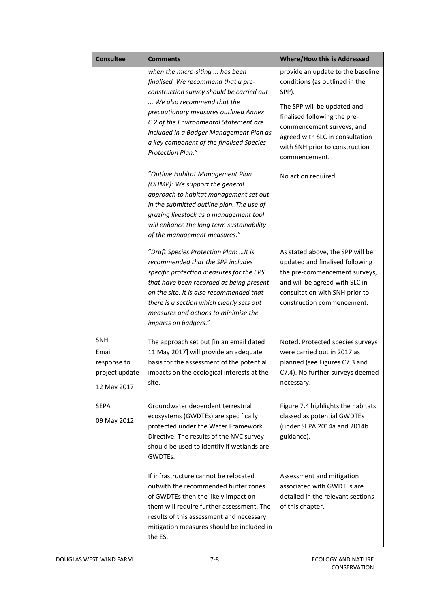| <b>Consultee</b>                                                    | <b>Comments</b>                                                                                                                                                                                                                                                                                                                                  | <b>Where/How this is Addressed</b>                                                                                                                                                                                                                             |  |
|---------------------------------------------------------------------|--------------------------------------------------------------------------------------------------------------------------------------------------------------------------------------------------------------------------------------------------------------------------------------------------------------------------------------------------|----------------------------------------------------------------------------------------------------------------------------------------------------------------------------------------------------------------------------------------------------------------|--|
|                                                                     | when the micro-siting  has been<br>finalised. We recommend that a pre-<br>construction survey should be carried out<br>We also recommend that the<br>precautionary measures outlined Annex<br>C.2 of the Environmental Statement are<br>included in a Badger Management Plan as<br>a key component of the finalised Species<br>Protection Plan." | provide an update to the baseline<br>conditions (as outlined in the<br>SPP).<br>The SPP will be updated and<br>finalised following the pre-<br>commencement surveys, and<br>agreed with SLC in consultation<br>with SNH prior to construction<br>commencement. |  |
|                                                                     | "Outline Habitat Management Plan<br>(OHMP): We support the general<br>approach to habitat management set out<br>in the submitted outline plan. The use of<br>grazing livestock as a management tool<br>will enhance the long term sustainability<br>of the management measures."                                                                 | No action required.                                                                                                                                                                                                                                            |  |
|                                                                     | "Draft Species Protection Plan:  It is<br>recommended that the SPP includes<br>specific protection measures for the EPS<br>that have been recorded as being present<br>on the site. It is also recommended that<br>there is a section which clearly sets out<br>measures and actions to minimise the<br>impacts on badgers."                     | As stated above, the SPP will be<br>updated and finalised following<br>the pre-commencement surveys,<br>and will be agreed with SLC in<br>consultation with SNH prior to<br>construction commencement.                                                         |  |
| <b>SNH</b><br>Email<br>response to<br>project update<br>12 May 2017 | The approach set out [in an email dated<br>11 May 2017] will provide an adequate<br>basis for the assessment of the potential<br>impacts on the ecological interests at the<br>site.                                                                                                                                                             | Noted. Protected species surveys<br>were carried out in 2017 as<br>planned (see Figures C7.3 and<br>C7.4). No further surveys deemed<br>necessary.                                                                                                             |  |
| <b>SEPA</b><br>09 May 2012                                          | Groundwater dependent terrestrial<br>ecosystems (GWDTEs) are specifically<br>protected under the Water Framework<br>Directive. The results of the NVC survey<br>should be used to identify if wetlands are<br>GWDTEs.                                                                                                                            | Figure 7.4 highlights the habitats<br>classed as potential GWDTEs<br>(under SEPA 2014a and 2014b<br>guidance).                                                                                                                                                 |  |
|                                                                     | If infrastructure cannot be relocated<br>outwith the recommended buffer zones<br>of GWDTEs then the likely impact on<br>them will require further assessment. The<br>results of this assessment and necessary<br>mitigation measures should be included in<br>the ES.                                                                            | Assessment and mitigation<br>associated with GWDTEs are<br>detailed in the relevant sections<br>of this chapter.                                                                                                                                               |  |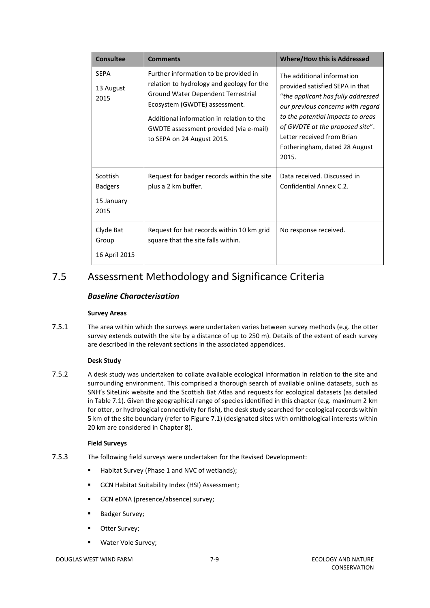| <b>Consultee</b>                                 | <b>Comments</b>                                                                                                                                                                                                                                                                | <b>Where/How this is Addressed</b>                                                                                                                                                                                                                                                       |
|--------------------------------------------------|--------------------------------------------------------------------------------------------------------------------------------------------------------------------------------------------------------------------------------------------------------------------------------|------------------------------------------------------------------------------------------------------------------------------------------------------------------------------------------------------------------------------------------------------------------------------------------|
| <b>SEPA</b><br>13 August<br>2015                 | Further information to be provided in<br>relation to hydrology and geology for the<br>Ground Water Dependent Terrestrial<br>Ecosystem (GWDTE) assessment.<br>Additional information in relation to the<br>GWDTE assessment provided (via e-mail)<br>to SEPA on 24 August 2015. | The additional information<br>provided satisfied SEPA in that<br>"the applicant has fully addressed<br>our previous concerns with regard<br>to the potential impacts to areas<br>of GWDTE at the proposed site".<br>Letter received from Brian<br>Fotheringham, dated 28 August<br>2015. |
| Scottish<br><b>Badgers</b><br>15 January<br>2015 | Request for badger records within the site<br>plus a 2 km buffer.                                                                                                                                                                                                              | Data received. Discussed in<br>Confidential Annex C.2.                                                                                                                                                                                                                                   |
| Clyde Bat<br>Group<br>16 April 2015              | Request for bat records within 10 km grid<br>square that the site falls within.                                                                                                                                                                                                | No response received.                                                                                                                                                                                                                                                                    |

# <span id="page-10-0"></span>7.5 Assessment Methodology and Significance Criteria

# *Baseline Characterisation*

# **Survey Areas**

7.5.1 The area within which the surveys were undertaken varies between survey methods (e.g. the otter survey extends outwith the site by a distance of up to 250 m). Details of the extent of each survey are described in the relevant sections in the associated appendices.

# **Desk Study**

7.5.2 A desk study was undertaken to collate available ecological information in relation to the site and surrounding environment. This comprised a thorough search of available online datasets, such as SNH's SiteLink website and the Scottish Bat Atlas and requests for ecological datasets (as detailed i[n Table 7.1\)](#page-7-1). Given the geographical range of species identified in this chapter (e.g. maximum 2 km for otter, or hydrological connectivity for fish), the desk study searched for ecological records within 5 km of the site boundary (refer to Figure 7.1) (designated sites with ornithological interests within 20 km are considered in Chapter 8).

# **Field Surveys**

- 7.5.3 The following field surveys were undertaken for the Revised Development:
	- Habitat Survey (Phase 1 and NVC of wetlands);
	- GCN Habitat Suitability Index (HSI) Assessment;
	- GCN eDNA (presence/absence) survey;
	- **Badger Survey;**
	- **D**tter Survey;
	- **Water Vole Survey;**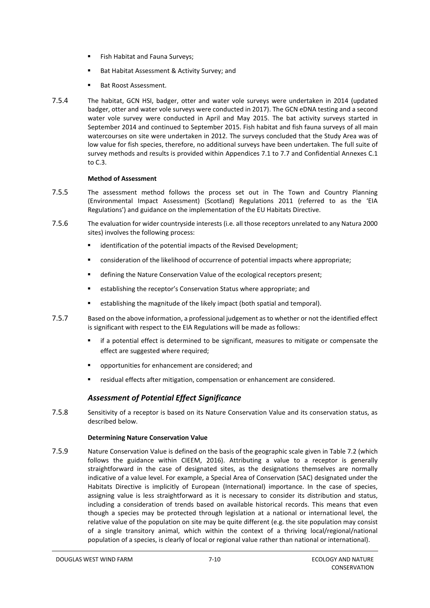- Fish Habitat and Fauna Surveys;
- Bat Habitat Assessment & Activity Survey: and
- Bat Roost Assessment.
- 7.5.4 The habitat, GCN HSI, badger, otter and water vole surveys were undertaken in 2014 (updated badger, otter and water vole surveys were conducted in 2017). The GCN eDNA testing and a second water vole survey were conducted in April and May 2015. The bat activity surveys started in September 2014 and continued to September 2015. Fish habitat and fish fauna surveys of all main watercourses on site were undertaken in 2012. The surveys concluded that the Study Area was of low value for fish species, therefore, no additional surveys have been undertaken. The full suite of survey methods and results is provided within Appendices 7.1 to 7.7 and Confidential Annexes C.1 to C.3.

#### **Method of Assessment**

- 7.5.5 The assessment method follows the process set out in The Town and Country Planning (Environmental Impact Assessment) (Scotland) Regulations 2011 (referred to as the 'EIA Regulations') and guidance on the implementation of the EU Habitats Directive.
- 7.5.6 The evaluation for wider countryside interests (i.e. all those receptors unrelated to any Natura 2000 sites) involves the following process:
	- identification of the potential impacts of the Revised Development;
	- consideration of the likelihood of occurrence of potential impacts where appropriate;
	- defining the Nature Conservation Value of the ecological receptors present;
	- establishing the receptor's Conservation Status where appropriate; and
	- establishing the magnitude of the likely impact (both spatial and temporal).
- 7.5.7 Based on the above information, a professional judgement as to whether or not the identified effect is significant with respect to the EIA Regulations will be made as follows:
	- if a potential effect is determined to be significant, measures to mitigate or compensate the effect are suggested where required;
	- opportunities for enhancement are considered; and
	- residual effects after mitigation, compensation or enhancement are considered.

# *Assessment of Potential Effect Significance*

7.5.8 Sensitivity of a receptor is based on its Nature Conservation Value and its conservation status, as described below.

#### **Determining Nature Conservation Value**

7.5.9 Nature Conservation Value is defined on the basis of the geographic scale given in Table 7.2 (which follows the guidance within CIEEM, 2016). Attributing a value to a receptor is generally straightforward in the case of designated sites, as the designations themselves are normally indicative of a value level. For example, a Special Area of Conservation (SAC) designated under the Habitats Directive is implicitly of European (International) importance. In the case of species, assigning value is less straightforward as it is necessary to consider its distribution and status, including a consideration of trends based on available historical records. This means that even though a species may be protected through legislation at a national or international level, the relative value of the population on site may be quite different (e.g. the site population may consist of a single transitory animal, which within the context of a thriving local/regional/national population of a species, is clearly of local or regional value rather than national or international).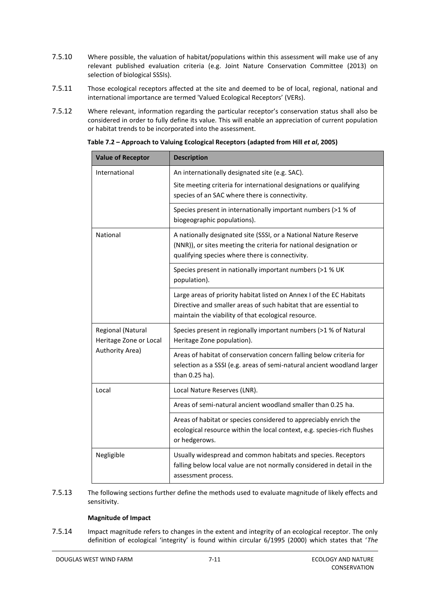- 7.5.10 Where possible, the valuation of habitat/populations within this assessment will make use of any relevant published evaluation criteria (e.g. Joint Nature Conservation Committee (2013) on selection of biological SSSIs).
- 7.5.11 Those ecological receptors affected at the site and deemed to be of local, regional, national and international importance are termed 'Valued Ecological Receptors' (VERs).
- 7.5.12 Where relevant, information regarding the particular receptor's conservation status shall also be considered in order to fully define its value. This will enable an appreciation of current population or habitat trends to be incorporated into the assessment.

| <b>Value of Receptor</b>                    | <b>Description</b>                                                                                                                                                                               |  |  |  |
|---------------------------------------------|--------------------------------------------------------------------------------------------------------------------------------------------------------------------------------------------------|--|--|--|
| International                               | An internationally designated site (e.g. SAC).<br>Site meeting criteria for international designations or qualifying<br>species of an SAC where there is connectivity.                           |  |  |  |
|                                             | Species present in internationally important numbers (>1 % of<br>biogeographic populations).                                                                                                     |  |  |  |
| National                                    | A nationally designated site (SSSI, or a National Nature Reserve<br>(NNR)), or sites meeting the criteria for national designation or<br>qualifying species where there is connectivity.         |  |  |  |
|                                             | Species present in nationally important numbers (>1 % UK<br>population).                                                                                                                         |  |  |  |
|                                             | Large areas of priority habitat listed on Annex I of the EC Habitats<br>Directive and smaller areas of such habitat that are essential to<br>maintain the viability of that ecological resource. |  |  |  |
| Regional (Natural<br>Heritage Zone or Local | Species present in regionally important numbers (>1 % of Natural<br>Heritage Zone population).                                                                                                   |  |  |  |
| Authority Area)                             | Areas of habitat of conservation concern falling below criteria for<br>selection as a SSSI (e.g. areas of semi-natural ancient woodland larger<br>than 0.25 ha).                                 |  |  |  |
| Local                                       | Local Nature Reserves (LNR).                                                                                                                                                                     |  |  |  |
|                                             | Areas of semi-natural ancient woodland smaller than 0.25 ha.                                                                                                                                     |  |  |  |
|                                             | Areas of habitat or species considered to appreciably enrich the<br>ecological resource within the local context, e.g. species-rich flushes<br>or hedgerows.                                     |  |  |  |
| Negligible                                  | Usually widespread and common habitats and species. Receptors<br>falling below local value are not normally considered in detail in the<br>assessment process.                                   |  |  |  |

|  | Table 7.2 - Approach to Valuing Ecological Receptors (adapted from Hill et al, 2005) |  |  |
|--|--------------------------------------------------------------------------------------|--|--|
|  |                                                                                      |  |  |

7.5.13 The following sections further define the methods used to evaluate magnitude of likely effects and sensitivity.

#### **Magnitude of Impact**

7.5.14 Impact magnitude refers to changes in the extent and integrity of an ecological receptor. The only definition of ecological 'integrity' is found within circular 6/1995 (2000) which states that '*The*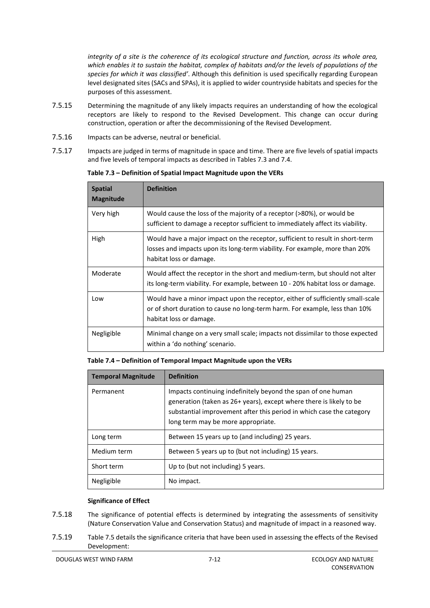*integrity of a site is the coherence of its ecological structure and function, across its whole area, which enables it to sustain the habitat, complex of habitats and/or the levels of populations of the species for which it was classified'*. Although this definition is used specifically regarding European level designated sites (SACs and SPAs), it is applied to wider countryside habitats and species for the purposes of this assessment.

- 7.5.15 Determining the magnitude of any likely impacts requires an understanding of how the ecological receptors are likely to respond to the Revised Development. This change can occur during construction, operation or after the decommissioning of the Revised Development.
- 7.5.16 Impacts can be adverse, neutral or beneficial.
- 7.5.17 Impacts are judged in terms of magnitude in space and time. There are five levels of spatial impacts and five levels of temporal impacts as described in Tables 7.3 and 7.4.

| <b>Spatial</b><br><b>Magnitude</b> | <b>Definition</b>                                                                                                                                                                         |
|------------------------------------|-------------------------------------------------------------------------------------------------------------------------------------------------------------------------------------------|
| Very high                          | Would cause the loss of the majority of a receptor (>80%), or would be<br>sufficient to damage a receptor sufficient to immediately affect its viability.                                 |
| High                               | Would have a major impact on the receptor, sufficient to result in short-term<br>losses and impacts upon its long-term viability. For example, more than 20%<br>habitat loss or damage.   |
| Moderate                           | Would affect the receptor in the short and medium-term, but should not alter<br>its long-term viability. For example, between 10 - 20% habitat loss or damage.                            |
| Low                                | Would have a minor impact upon the receptor, either of sufficiently small-scale<br>or of short duration to cause no long-term harm. For example, less than 10%<br>habitat loss or damage. |
| Negligible                         | Minimal change on a very small scale; impacts not dissimilar to those expected<br>within a 'do nothing' scenario.                                                                         |

**Table 7.3 – Definition of Spatial Impact Magnitude upon the VERs**

#### **Table 7.4 – Definition of Temporal Impact Magnitude upon the VERs**

| <b>Temporal Magnitude</b> | <b>Definition</b>                                                                                                                                                                                                                                 |
|---------------------------|---------------------------------------------------------------------------------------------------------------------------------------------------------------------------------------------------------------------------------------------------|
| Permanent                 | Impacts continuing indefinitely beyond the span of one human<br>generation (taken as 26+ years), except where there is likely to be<br>substantial improvement after this period in which case the category<br>long term may be more appropriate. |
| Long term                 | Between 15 years up to (and including) 25 years.                                                                                                                                                                                                  |
| Medium term               | Between 5 years up to (but not including) 15 years.                                                                                                                                                                                               |
| Short term                | Up to (but not including) 5 years.                                                                                                                                                                                                                |
| Negligible                | No impact.                                                                                                                                                                                                                                        |

#### **Significance of Effect**

- 7.5.18 The significance of potential effects is determined by integrating the assessments of sensitivity (Nature Conservation Value and Conservation Status) and magnitude of impact in a reasoned way.
- 7.5.19 [Table 7.5](#page-14-0) details the significance criteria that have been used in assessing the effects of the Revised Development: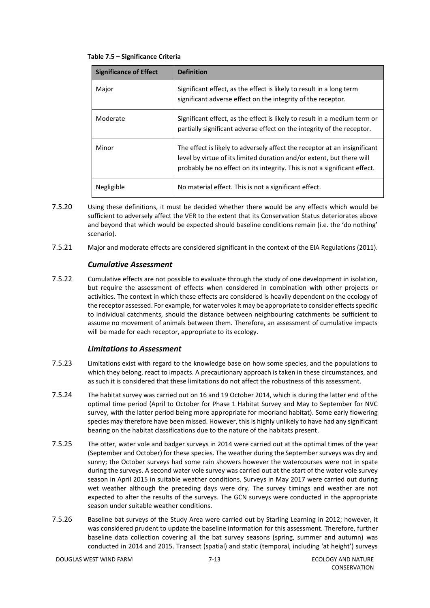| <b>Significance of Effect</b> | <b>Definition</b>                                                                                                                                                                                                               |
|-------------------------------|---------------------------------------------------------------------------------------------------------------------------------------------------------------------------------------------------------------------------------|
| Major                         | Significant effect, as the effect is likely to result in a long term<br>significant adverse effect on the integrity of the receptor.                                                                                            |
| Moderate                      | Significant effect, as the effect is likely to result in a medium term or<br>partially significant adverse effect on the integrity of the receptor.                                                                             |
| Minor                         | The effect is likely to adversely affect the receptor at an insignificant<br>level by virtue of its limited duration and/or extent, but there will<br>probably be no effect on its integrity. This is not a significant effect. |
| Negligible                    | No material effect. This is not a significant effect.                                                                                                                                                                           |

#### <span id="page-14-0"></span>**Table 7.5 – Significance Criteria**

- 7.5.20 Using these definitions, it must be decided whether there would be any effects which would be sufficient to adversely affect the VER to the extent that its Conservation Status deteriorates above and beyond that which would be expected should baseline conditions remain (i.e. the 'do nothing' scenario).
- 7.5.21 Major and moderate effects are considered significant in the context of the EIA Regulations (2011).

# *Cumulative Assessment*

7.5.22 Cumulative effects are not possible to evaluate through the study of one development in isolation, but require the assessment of effects when considered in combination with other projects or activities. The context in which these effects are considered is heavily dependent on the ecology of the receptor assessed. For example, for water voles it may be appropriate to consider effects specific to individual catchments, should the distance between neighbouring catchments be sufficient to assume no movement of animals between them. Therefore, an assessment of cumulative impacts will be made for each receptor, appropriate to its ecology.

# *Limitations to Assessment*

- 7.5.23 Limitations exist with regard to the knowledge base on how some species, and the populations to which they belong, react to impacts. A precautionary approach is taken in these circumstances, and as such it is considered that these limitations do not affect the robustness of this assessment.
- 7.5.24 The habitat survey was carried out on 16 and 19 October 2014, which is during the latter end of the optimal time period (April to October for Phase 1 Habitat Survey and May to September for NVC survey, with the latter period being more appropriate for moorland habitat). Some early flowering species may therefore have been missed. However, this is highly unlikely to have had any significant bearing on the habitat classifications due to the nature of the habitats present.
- 7.5.25 The otter, water vole and badger surveys in 2014 were carried out at the optimal times of the year (September and October) for these species. The weather during the September surveys was dry and sunny; the October surveys had some rain showers however the watercourses were not in spate during the surveys. A second water vole survey was carried out at the start of the water vole survey season in April 2015 in suitable weather conditions. Surveys in May 2017 were carried out during wet weather although the preceding days were dry. The survey timings and weather are not expected to alter the results of the surveys. The GCN surveys were conducted in the appropriate season under suitable weather conditions.
- 7.5.26 Baseline bat surveys of the Study Area were carried out by Starling Learning in 2012; however, it was considered prudent to update the baseline information for this assessment. Therefore, further baseline data collection covering all the bat survey seasons (spring, summer and autumn) was conducted in 2014 and 2015. Transect (spatial) and static (temporal, including 'at height') surveys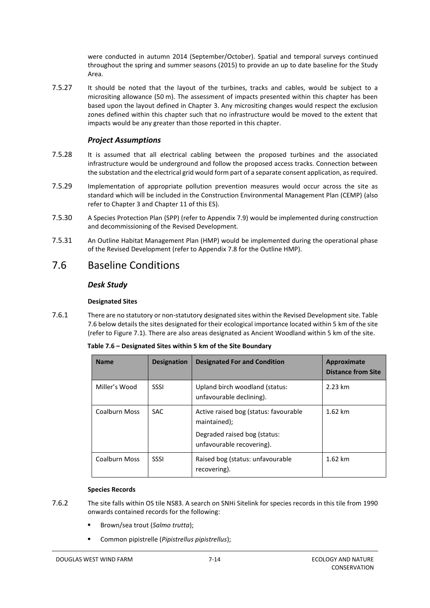were conducted in autumn 2014 (September/October). Spatial and temporal surveys continued throughout the spring and summer seasons (2015) to provide an up to date baseline for the Study Area.

7.5.27 It should be noted that the layout of the turbines, tracks and cables, would be subject to a micrositing allowance (50 m). The assessment of impacts presented within this chapter has been based upon the layout defined in Chapter 3. Any micrositing changes would respect the exclusion zones defined within this chapter such that no infrastructure would be moved to the extent that impacts would be any greater than those reported in this chapter.

### *Project Assumptions*

- 7.5.28 It is assumed that all electrical cabling between the proposed turbines and the associated infrastructure would be underground and follow the proposed access tracks. Connection between the substation and the electrical grid would form part of a separate consent application, as required.
- 7.5.29 Implementation of appropriate pollution prevention measures would occur across the site as standard which will be included in the Construction Environmental Management Plan (CEMP) (also refer to Chapter 3 and Chapter 11 of this ES).
- <span id="page-15-2"></span>7.5.30 A Species Protection Plan (SPP) (refer to Appendix 7.9) would be implemented during construction and decommissioning of the Revised Development.
- 7.5.31 An Outline Habitat Management Plan (HMP) would be implemented during the operational phase of the Revised Development (refer to Appendix 7.8 for the Outline HMP).

# <span id="page-15-0"></span>7.6 Baseline Conditions

### *Desk Study*

#### **Designated Sites**

<span id="page-15-1"></span>7.6.1 There are no statutory or non-statutory designated sites within the Revised Development site[. Table](#page-15-1)  [7.6](#page-15-1) below details the sites designated for their ecological importance located within 5 km of the site (refer to Figure 7.1). There are also areas designated as Ancient Woodland within 5 km of the site.

|  | Table 7.6 - Designated Sites within 5 km of the Site Boundary |  |
|--|---------------------------------------------------------------|--|
|  |                                                               |  |

| <b>Name</b>          | <b>Designation</b> | <b>Designated For and Condition</b>                                                                                | Approximate<br><b>Distance from Site</b> |
|----------------------|--------------------|--------------------------------------------------------------------------------------------------------------------|------------------------------------------|
| Miller's Wood        | SSSI               | Upland birch woodland (status:<br>unfavourable declining).                                                         | 2.23 km                                  |
| <b>Coalburn Moss</b> | <b>SAC</b>         | Active raised bog (status: favourable<br>maintained);<br>Degraded raised bog (status:<br>unfavourable recovering). | $1.62$ km                                |
| <b>Coalburn Moss</b> | <b>SSSI</b>        | Raised bog (status: unfavourable<br>recovering).                                                                   | $1.62$ km                                |

#### **Species Records**

- 7.6.2 The site falls within OS tile NS83. A search on SNHi Sitelink for species records in this tile from 1990 onwards contained records for the following:
	- Brown/sea trout (*Salmo trutta*);
	- Common pipistrelle (*Pipistrellus pipistrellus*);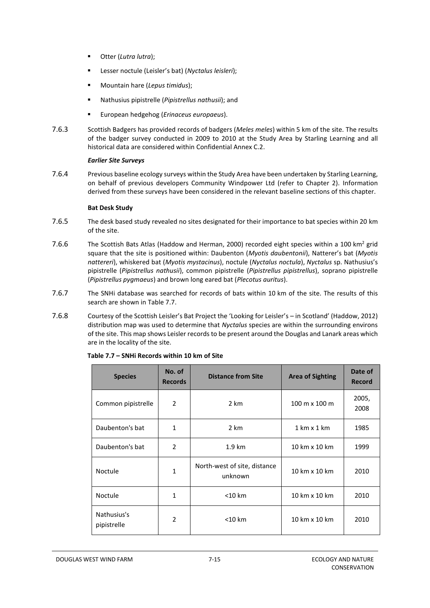- Otter (*Lutra lutra*);
- Lesser noctule (Leisler's bat) (*Nyctalus leisleri*);
- Mountain hare (*Lepus timidus*);
- Nathusius pipistrelle (*Pipistrellus nathusii*); and
- European hedgehog (*Erinaceus europaeus*).
- 7.6.3 Scottish Badgers has provided records of badgers (*Meles meles*) within 5 km of the site. The results of the badger survey conducted in 2009 to 2010 at the Study Area by Starling Learning and all historical data are considered within Confidential Annex C.2.

#### *Earlier Site Surveys*

7.6.4 Previous baseline ecology surveys within the Study Area have been undertaken by Starling Learning, on behalf of previous developers Community Windpower Ltd (refer to Chapter 2). Information derived from these surveys have been considered in the relevant baseline sections of this chapter.

#### **Bat Desk Study**

- 7.6.5 The desk based study revealed no sites designated for their importance to bat species within 20 km of the site.
- 7.6.6 The Scottish Bats Atlas (Haddow and Herman, 2000) recorded eight species within a 100 km<sup>2</sup> grid square that the site is positioned within: Daubenton (*Myotis daubentonii*), Natterer's bat (*Myotis nattereri*), whiskered bat (*Myotis mystacinus*), noctule (*Nyctalus noctula*), *Nyctalus* sp. Nathusius's pipistrelle (*Pipistrellus nathusii*), common pipistrelle (*Pipistrellus pipistrellus*), soprano pipistrelle (*Pipistrellus pygmaeus*) and brown long eared bat (*Plecotus auritus*).
- 7.6.7 The SNHi database was searched for records of bats within 10 km of the site. The results of this search are shown in [Table 7.7.](#page-16-0)
- 7.6.8 Courtesy of the Scottish Leisler's Bat Project the 'Looking for Leisler's in Scotland' (Haddow, 2012) distribution map was used to determine that *Nyctalus* species are within the surrounding environs of the site. This map shows Leisler records to be present around the Douglas and Lanark areas which are in the locality of the site.

| <b>Species</b>             | No. of<br><b>Records</b> | <b>Distance from Site</b>               | <b>Area of Sighting</b> | Date of<br><b>Record</b> |
|----------------------------|--------------------------|-----------------------------------------|-------------------------|--------------------------|
| Common pipistrelle         | 2                        | 2 km                                    | 100 m x 100 m           | 2005,<br>2008            |
| Daubenton's bat            | 1                        | 2 km                                    | 1 km x 1 km             | 1985                     |
| Daubenton's bat            | $\overline{2}$           | 1.9 km                                  | 10 km x 10 km           | 1999                     |
| Noctule                    | 1                        | North-west of site, distance<br>unknown | 10 km x 10 km           | 2010                     |
| <b>Noctule</b>             | 1                        | $<$ 10 km                               | 10 km x 10 km           | 2010                     |
| Nathusius's<br>pipistrelle | $\overline{2}$           | $<$ 10 km                               | 10 km x 10 km           | 2010                     |

<span id="page-16-0"></span>

| Table 7.7 – SNHi Records within 10 km of Site |  |  |  |
|-----------------------------------------------|--|--|--|
|-----------------------------------------------|--|--|--|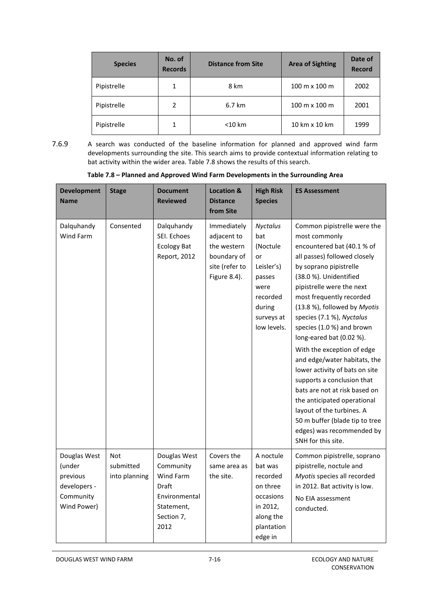| <b>Species</b> | No. of<br><b>Records</b> | <b>Distance from Site</b> | <b>Area of Sighting</b>              | Date of<br><b>Record</b> |
|----------------|--------------------------|---------------------------|--------------------------------------|--------------------------|
| Pipistrelle    | 1                        | 8 km                      | $100 \text{ m} \times 100 \text{ m}$ | 2002                     |
| Pipistrelle    | 2                        | 6.7 km                    | 100 m x 100 m                        | 2001                     |
| Pipistrelle    | 1                        | $<$ 10 km                 | 10 km x 10 km                        | 1999                     |

7.6.9 A search was conducted of the baseline information for planned and approved wind farm developments surrounding the site. This search aims to provide contextual information relating to bat activity within the wider area. [Table 7.8](#page-17-0) shows the results of this search.

|  |  | Table 7.8 – Planned and Approved Wind Farm Developments in the Surrounding Area |  |
|--|--|---------------------------------------------------------------------------------|--|
|  |  |                                                                                 |  |

<span id="page-17-0"></span>

| <b>Development</b><br><b>Name</b>                                              | <b>Stage</b>                             | <b>Document</b><br><b>Reviewed</b>                                                                   | <b>Location &amp;</b><br><b>Distance</b><br>from Site                                      | <b>High Risk</b><br><b>Species</b>                                                                                          | <b>ES Assessment</b>                                                                                                                                                                                                                                                                                                                                                                                                                                                                                                                                                                                                                                          |
|--------------------------------------------------------------------------------|------------------------------------------|------------------------------------------------------------------------------------------------------|--------------------------------------------------------------------------------------------|-----------------------------------------------------------------------------------------------------------------------------|---------------------------------------------------------------------------------------------------------------------------------------------------------------------------------------------------------------------------------------------------------------------------------------------------------------------------------------------------------------------------------------------------------------------------------------------------------------------------------------------------------------------------------------------------------------------------------------------------------------------------------------------------------------|
| Dalquhandy<br>Wind Farm                                                        | Consented                                | Dalquhandy<br>SEI. Echoes<br><b>Ecology Bat</b><br>Report, 2012                                      | Immediately<br>adjacent to<br>the western<br>boundary of<br>site (refer to<br>Figure 8.4). | <b>Nyctalus</b><br>bat<br>(Noctule<br>or<br>Leisler's)<br>passes<br>were<br>recorded<br>during<br>surveys at<br>low levels. | Common pipistrelle were the<br>most commonly<br>encountered bat (40.1 % of<br>all passes) followed closely<br>by soprano pipistrelle<br>(38.0 %). Unidentified<br>pipistrelle were the next<br>most frequently recorded<br>(13.8 %), followed by Myotis<br>species (7.1 %), Nyctalus<br>species (1.0 %) and brown<br>long-eared bat (0.02 %).<br>With the exception of edge<br>and edge/water habitats, the<br>lower activity of bats on site<br>supports a conclusion that<br>bats are not at risk based on<br>the anticipated operational<br>layout of the turbines. A<br>50 m buffer (blade tip to tree<br>edges) was recommended by<br>SNH for this site. |
| Douglas West<br>(under<br>previous<br>developers -<br>Community<br>Wind Power) | <b>Not</b><br>submitted<br>into planning | Douglas West<br>Community<br>Wind Farm<br>Draft<br>Environmental<br>Statement,<br>Section 7,<br>2012 | Covers the<br>same area as<br>the site.                                                    | A noctule<br>bat was<br>recorded<br>on three<br>occasions<br>in 2012,<br>along the<br>plantation<br>edge in                 | Common pipistrelle, soprano<br>pipistrelle, noctule and<br>Myotis species all recorded<br>in 2012. Bat activity is low.<br>No EIA assessment<br>conducted.                                                                                                                                                                                                                                                                                                                                                                                                                                                                                                    |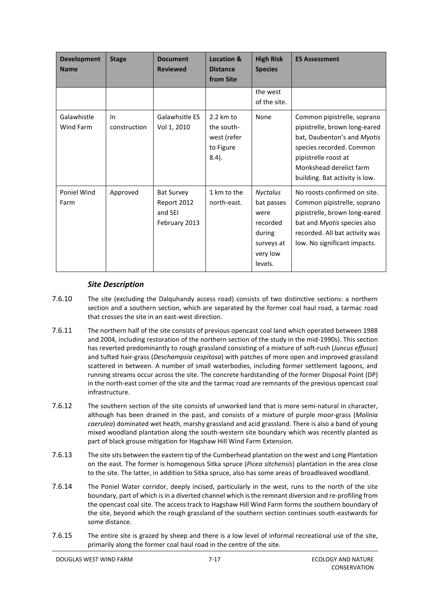| <b>Development</b><br><b>Name</b> | <b>Stage</b>        | <b>Document</b><br><b>Reviewed</b>                           | <b>Location &amp;</b><br><b>Distance</b><br>from Site                     | <b>High Risk</b><br><b>Species</b>                                                        | <b>ES Assessment</b>                                                                                                                                                                                         |
|-----------------------------------|---------------------|--------------------------------------------------------------|---------------------------------------------------------------------------|-------------------------------------------------------------------------------------------|--------------------------------------------------------------------------------------------------------------------------------------------------------------------------------------------------------------|
|                                   |                     |                                                              |                                                                           | the west<br>of the site.                                                                  |                                                                                                                                                                                                              |
| Galawhistle<br>Wind Farm          | In.<br>construction | Galawhsitle ES<br>Vol 1, 2010                                | $2.2 \text{ km}$ to<br>the south-<br>west (refer<br>to Figure<br>$8.4$ ). | None                                                                                      | Common pipistrelle, soprano<br>pipistrelle, brown long-eared<br>bat, Daubenton's and Myotis<br>species recorded. Common<br>pipistrelle roost at<br>Monkshead derelict farm<br>building. Bat activity is low. |
| Poniel Wind<br>Farm               | Approved            | <b>Bat Survey</b><br>Report 2012<br>and SEI<br>February 2013 | 1 km to the<br>north-east.                                                | Nyctalus<br>bat passes<br>were<br>recorded<br>during<br>surveys at<br>very low<br>levels. | No roosts confirmed on site.<br>Common pipistrelle, soprano<br>pipistrelle, brown long-eared<br>bat and Myotis species also<br>recorded. All bat activity was<br>low. No significant impacts.                |

# *Site Description*

- 7.6.10 The site (excluding the Dalquhandy access road) consists of two distinctive sections: a northern section and a southern section, which are separated by the former coal haul road, a tarmac road that crosses the site in an east-west direction.
- 7.6.11 The northern half of the site consists of previous opencast coal land which operated between 1988 and 2004, including restoration of the northern section of the study in the mid-1990s). This section has reverted predominantly to rough grassland consisting of a mixture of soft-rush (*Juncus effusus*) and tufted hair-grass (*Deschampsia cespitosa*) with patches of more open and improved grassland scattered in between. A number of small waterbodies, including former settlement lagoons, and running streams occur across the site. The concrete hardstanding of the former Disposal Point (DP) in the north-east corner of the site and the tarmac road are remnants of the previous opencast coal infrastructure.
- 7.6.12 The southern section of the site consists of unworked land that is more semi-natural in character, although has been drained in the past, and consists of a mixture of purple moor-grass (*Molinia caerulea*) dominated wet heath, marshy grassland and acid grassland. There is also a band of young mixed woodland plantation along the south-western site boundary which was recently planted as part of black grouse mitigation for Hagshaw Hill Wind Farm Extension.
- 7.6.13 The site sits between the eastern tip of the Cumberhead plantation on the west and Long Plantation on the east. The former is homogenous Sitka spruce (*Picea sitchensis*) plantation in the area close to the site. The latter, in addition to Sitka spruce, also has some areas of broadleaved woodland.
- 7.6.14 The Poniel Water corridor, deeply incised, particularly in the west, runs to the north of the site boundary, part of which is in a diverted channel which is the remnant diversion and re-profiling from the opencast coal site. The access track to Hagshaw Hill Wind Farm forms the southern boundary of the site, beyond which the rough grassland of the southern section continues south-eastwards for some distance.
- 7.6.15 The entire site is grazed by sheep and there is a low level of informal recreational use of the site, primarily along the former coal haul road in the centre of the site.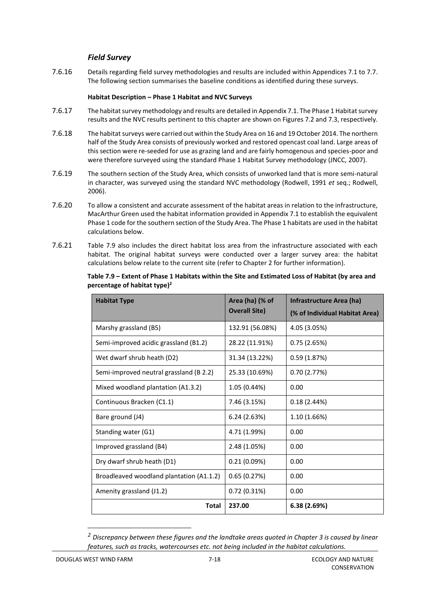# *Field Survey*

7.6.16 Details regarding field survey methodologies and results are included within Appendices 7.1 to 7.7. The following section summarises the baseline conditions as identified during these surveys.

#### **Habitat Description – Phase 1 Habitat and NVC Surveys**

- 7.6.17 The habitat survey methodology and results are detailed in Appendix 7.1. The Phase 1 Habitat survey results and the NVC results pertinent to this chapter are shown on Figures 7.2 and 7.3, respectively.
- 7.6.18 The habitat surveys were carried out within the Study Area on 16 and 19 October 2014. The northern half of the Study Area consists of previously worked and restored opencast coal land. Large areas of this section were re-seeded for use as grazing land and are fairly homogenous and species-poor and were therefore surveyed using the standard Phase 1 Habitat Survey methodology (JNCC, 2007).
- 7.6.19 The southern section of the Study Area, which consists of unworked land that is more semi-natural in character, was surveyed using the standard NVC methodology (Rodwell, 1991 *et* seq.; Rodwell, 2006).
- 7.6.20 To allow a consistent and accurate assessment of the habitat areas in relation to the infrastructure, MacArthur Green used the habitat information provided in Appendix 7.1 to establish the equivalent Phase 1 code for the southern section of the Study Area. The Phase 1 habitats are used in the habitat calculations below.
- 7.6.21 Table 7.9 also includes the direct habitat loss area from the infrastructure associated with each habitat. The original habitat surveys were conducted over a larger survey area: the habitat calculations below relate to the current site (refer to Chapter 2 for further information).

| <b>Habitat Type</b>                      | Area (ha) (% of<br><b>Overall Site)</b> | Infrastructure Area (ha)<br>(% of Individual Habitat Area) |
|------------------------------------------|-----------------------------------------|------------------------------------------------------------|
| Marshy grassland (B5)                    | 132.91 (56.08%)                         | 4.05 (3.05%)                                               |
| Semi-improved acidic grassland (B1.2)    | 28.22 (11.91%)                          | 0.75(2.65%)                                                |
| Wet dwarf shrub heath (D2)               | 31.34 (13.22%)                          | 0.59(1.87%)                                                |
| Semi-improved neutral grassland (B 2.2)  | 25.33 (10.69%)                          | 0.70(2.77%)                                                |
| Mixed woodland plantation (A1.3.2)       | 1.05 (0.44%)                            | 0.00                                                       |
| Continuous Bracken (C1.1)                | 7.46 (3.15%)                            | 0.18(2.44%)                                                |
| Bare ground (J4)                         | 6.24 (2.63%)                            | 1.10 (1.66%)                                               |
| Standing water (G1)                      | 4.71 (1.99%)                            | 0.00                                                       |
| Improved grassland (B4)                  | 2.48 (1.05%)                            | 0.00                                                       |
| Dry dwarf shrub heath (D1)               | 0.21(0.09%)                             | 0.00                                                       |
| Broadleaved woodland plantation (A1.1.2) | 0.65(0.27%)                             | 0.00                                                       |
| Amenity grassland (J1.2)                 | 0.72(0.31%)                             | 0.00                                                       |
| Total                                    | 237.00                                  | 6.38 (2.69%)                                               |

**Table 7.9 – Extent of Phase 1 Habitats within the Site and Estimated Loss of Habitat (by area and percentage of habitat type)<sup>2</sup>**

*<sup>2</sup> Discrepancy between these figures and the landtake areas quoted in Chapter 3 is caused by linear features, such as tracks, watercourses etc. not being included in the habitat calculations.*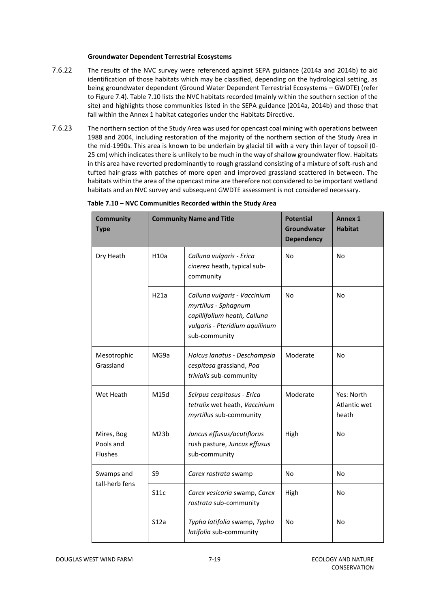#### **Groundwater Dependent Terrestrial Ecosystems**

- 7.6.22 The results of the NVC survey were referenced against SEPA guidance (2014a and 2014b) to aid identification of those habitats which may be classified, depending on the hydrological setting, as being groundwater dependent (Ground Water Dependent Terrestrial Ecosystems – GWDTE) (refer to Figure 7.4). Table 7.10 lists the NVC habitats recorded (mainly within the southern section of the site) and highlights those communities listed in the SEPA guidance (2014a, 2014b) and those that fall within the Annex 1 habitat categories under the Habitats Directive.
- <span id="page-20-0"></span>7.6.23 The northern section of the Study Area was used for opencast coal mining with operations between 1988 and 2004, including restoration of the majority of the northern section of the Study Area in the mid-1990s. This area is known to be underlain by glacial till with a very thin layer of topsoil (0- 25 cm) which indicates there is unlikely to be much in the way of shallow groundwater flow. Habitats in this area have reverted predominantly to rough grassland consisting of a mixture of soft-rush and tufted hair-grass with patches of more open and improved grassland scattered in between. The habitats within the area of the opencast mine are therefore not considered to be important wetland habitats and an NVC survey and subsequent GWDTE assessment is not considered necessary.

| <b>Community</b><br><b>Type</b>           |                                        | <b>Community Name and Title</b>                                                                                                         | <b>Potential</b><br>Groundwater<br><b>Dependency</b> | <b>Annex 1</b><br><b>Habitat</b>    |
|-------------------------------------------|----------------------------------------|-----------------------------------------------------------------------------------------------------------------------------------------|------------------------------------------------------|-------------------------------------|
| Dry Heath                                 | H10a                                   | Calluna vulgaris - Erica<br>cinerea heath, typical sub-<br>community                                                                    | No                                                   | No                                  |
|                                           | H21a                                   | Calluna vulgaris - Vaccinium<br>myrtillus - Sphagnum<br>capillifolium heath, Calluna<br>vulgaris - Pteridium aquilinum<br>sub-community | No                                                   | No                                  |
| Mesotrophic<br>Grassland                  | MG9a                                   | Holcus lanatus - Deschampsia<br>cespitosa grassland, Poa<br>trivialis sub-community                                                     | Moderate                                             | <b>No</b>                           |
| Wet Heath                                 | M15d                                   | Scirpus cespitosus - Erica<br>tetralix wet heath, Vaccinium<br>myrtillus sub-community                                                  | Moderate                                             | Yes: North<br>Atlantic wet<br>heath |
| Mires, Bog<br>Pools and<br><b>Flushes</b> | M <sub>23b</sub>                       | Juncus effusus/acutiflorus<br>rush pasture, Juncus effusus<br>sub-community                                                             | High                                                 | <b>No</b>                           |
| Swamps and                                | S <sub>9</sub><br>Carex rostrata swamp |                                                                                                                                         | <b>No</b>                                            | <b>No</b>                           |
| tall-herb fens                            | S11c                                   | Carex vesicaria swamp, Carex<br>rostrata sub-community                                                                                  | High                                                 | No                                  |
|                                           | S12a                                   | Typha latifolia swamp, Typha<br>latifolia sub-community                                                                                 | <b>No</b>                                            | No                                  |

<span id="page-20-1"></span>**Table 7.10 – NVC Communities Recorded within the Study Area**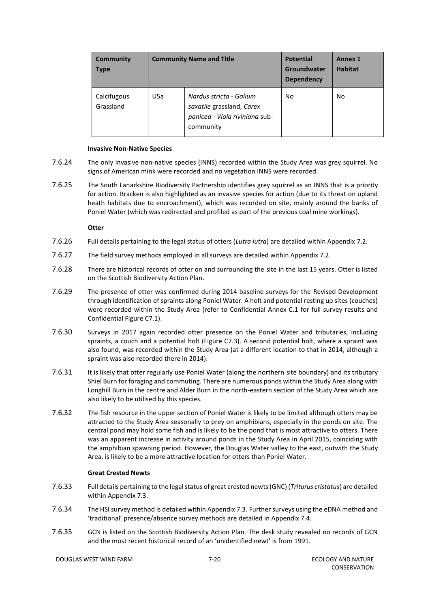| <b>Community</b><br><b>Type</b> |                  | <b>Community Name and Title</b>                                                                     | <b>Potential</b><br>Groundwater<br><b>Dependency</b> | Annex 1<br><b>Habitat</b> |
|---------------------------------|------------------|-----------------------------------------------------------------------------------------------------|------------------------------------------------------|---------------------------|
| Calcifugous<br>Grassland        | U <sub>5</sub> a | Nardus stricta - Galium<br>saxatile grassland, Carex<br>panicea - Viola riviniana sub-<br>community | No                                                   | No                        |

#### **Invasive Non-Native Species**

- 7.6.24 The only invasive non-native species (INNS) recorded within the Study Area was grey squirrel. No signs of American mink were recorded and no vegetation INNS were recorded.
- 7.6.25 The South Lanarkshire Biodiversity Partnership identifies grey squirrel as an INNS that is a priority for action. Bracken is also highlighted as an invasive species for action (due to its threat on upland heath habitats due to encroachment), which was recorded on site, mainly around the banks of Poniel Water (which was redirected and profiled as part of the previous coal mine workings).

#### **Otter**

- 7.6.26 Full details pertaining to the legal status of otters (*Lutra lutra*) are detailed within Appendix 7.2.
- 7.6.27 The field survey methods employed in all surveys are detailed within Appendix 7.2.
- 7.6.28 There are historical records of otter on and surrounding the site in the last 15 years. Otter is listed on the Scottish Biodiversity Action Plan.
- 7.6.29 The presence of otter was confirmed during 2014 baseline surveys for the Revised Development through identification of spraints along Poniel Water. A holt and potential resting up sites (couches) were recorded within the Study Area (refer to Confidential Annex C.1 for full survey results and Confidential Figure C7.1).
- 7.6.30 Surveys in 2017 again recorded otter presence on the Poniel Water and tributaries, including spraints, a couch and a potential holt (Figure C7.3). A second potential holt, where a spraint was also found, was recorded within the Study Area (at a different location to that in 2014, although a spraint was also recorded there in 2014).
- 7.6.31 It is likely that otter regularly use Poniel Water (along the northern site boundary) and its tributary Shiel Burn for foraging and commuting. There are numerous ponds within the Study Area along with Longhill Burn in the centre and Alder Burn in the north-eastern section of the Study Area which are also likely to be utilised by this species.
- 7.6.32 The fish resource in the upper section of Poniel Water is likely to be limited although otters may be attracted to the Study Area seasonally to prey on amphibians, especially in the ponds on site. The central pond may hold some fish and is likely to be the pond that is most attractive to otters. There was an apparent increase in activity around ponds in the Study Area in April 2015, coinciding with the amphibian spawning period. However, the Douglas Water valley to the east, outwith the Study Area, is likely to be a more attractive location for otters than Poniel Water.

#### **Great Crested Newts**

- 7.6.33 Full details pertaining to the legal status of great crested newts (GNC) (*Triturus cristatus*) are detailed within Appendix 7.3.
- 7.6.34 The HSI survey method is detailed within Appendix 7.3. Further surveys using the eDNA method and 'traditional' presence/absence survey methods are detailed in Appendix 7.4.
- 7.6.35 GCN is listed on the Scottish Biodiversity Action Plan. The desk study revealed no records of GCN and the most recent historical record of an 'unidentified newt' is from 1991.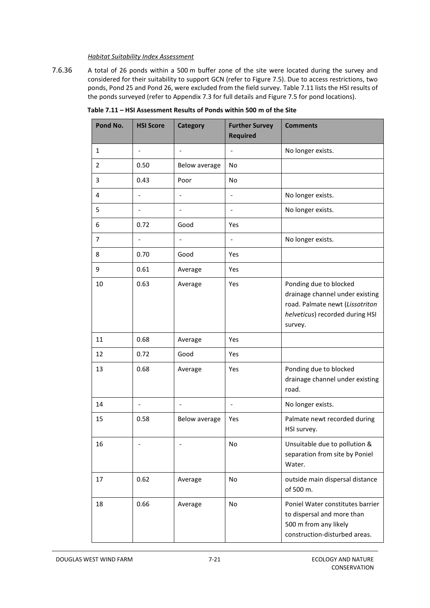#### *Habitat Suitability Index Assessment*

7.6.36 A total of 26 ponds within a 500 m buffer zone of the site were located during the survey and considered for their suitability to support GCN (refer to Figure 7.5). Due to access restrictions, two ponds, Pond 25 and Pond 26, were excluded from the field survey. Table 7.11 lists the HSI results of the ponds surveyed (refer to Appendix 7.3 for full details and Figure 7.5 for pond locations).

**Table 7.11 – HSI Assessment Results of Ponds within 500 m of the Site**

| Pond No.     | <b>HSI Score</b>         | <b>Category</b>          | <b>Further Survey</b><br><b>Required</b> | <b>Comments</b>                                                                                                                            |
|--------------|--------------------------|--------------------------|------------------------------------------|--------------------------------------------------------------------------------------------------------------------------------------------|
| $\mathbf{1}$ | $\overline{\phantom{a}}$ | $\overline{\phantom{a}}$ |                                          | No longer exists.                                                                                                                          |
| 2            | 0.50                     | Below average            | No                                       |                                                                                                                                            |
| 3            | 0.43                     | Poor                     | No                                       |                                                                                                                                            |
| 4            |                          |                          |                                          | No longer exists.                                                                                                                          |
| 5            |                          |                          |                                          | No longer exists.                                                                                                                          |
| 6            | 0.72                     | Good                     | Yes                                      |                                                                                                                                            |
| 7            | $\frac{1}{2}$            | $\overline{\phantom{a}}$ | $\overline{\phantom{m}}$                 | No longer exists.                                                                                                                          |
| 8            | 0.70                     | Good                     | Yes                                      |                                                                                                                                            |
| 9            | 0.61                     | Average                  | Yes                                      |                                                                                                                                            |
| 10           | 0.63                     | Average                  | Yes                                      | Ponding due to blocked<br>drainage channel under existing<br>road. Palmate newt (Lissotriton<br>helveticus) recorded during HSI<br>survey. |
| 11           | 0.68                     | Average                  | Yes                                      |                                                                                                                                            |
| 12           | 0.72                     | Good                     | Yes                                      |                                                                                                                                            |
| 13           | 0.68                     | Average                  | Yes                                      | Ponding due to blocked<br>drainage channel under existing<br>road.                                                                         |
| 14           | $\overline{\phantom{a}}$ | $\overline{\phantom{a}}$ | $\qquad \qquad \blacksquare$             | No longer exists.                                                                                                                          |
| 15           | 0.58                     | Below average            | Yes                                      | Palmate newt recorded during<br>HSI survey.                                                                                                |
| 16           |                          |                          | No                                       | Unsuitable due to pollution &<br>separation from site by Poniel<br>Water.                                                                  |
| 17           | 0.62                     | Average                  | No                                       | outside main dispersal distance<br>of 500 m.                                                                                               |
| 18           | 0.66                     | Average                  | No                                       | Poniel Water constitutes barrier<br>to dispersal and more than<br>500 m from any likely<br>construction-disturbed areas.                   |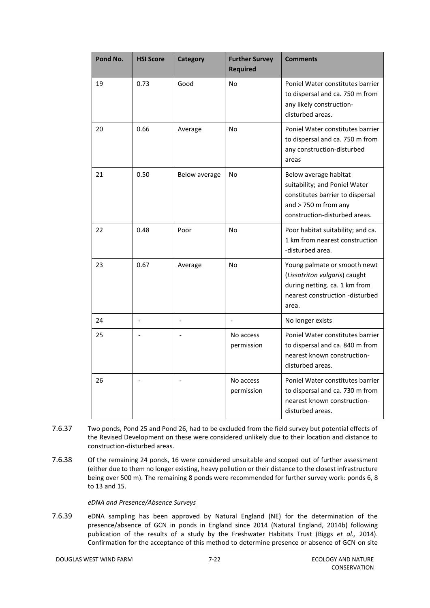| Pond No. | <b>HSI Score</b> | <b>Category</b> | <b>Further Survey</b><br><b>Required</b> | <b>Comments</b>                                                                                                                                       |
|----------|------------------|-----------------|------------------------------------------|-------------------------------------------------------------------------------------------------------------------------------------------------------|
| 19       | 0.73             | Good            | <b>No</b>                                | Poniel Water constitutes barrier<br>to dispersal and ca. 750 m from<br>any likely construction-<br>disturbed areas.                                   |
| 20       | 0.66             | Average         | No                                       | Poniel Water constitutes barrier<br>to dispersal and ca. 750 m from<br>any construction-disturbed<br>areas                                            |
| 21       | 0.50             | Below average   | No                                       | Below average habitat<br>suitability; and Poniel Water<br>constitutes barrier to dispersal<br>and $> 750$ m from any<br>construction-disturbed areas. |
| 22       | 0.48             | Poor            | No                                       | Poor habitat suitability; and ca.<br>1 km from nearest construction<br>-disturbed area.                                                               |
| 23       | 0.67             | Average         | No                                       | Young palmate or smooth newt<br>(Lissotriton vulgaris) caught<br>during netting. ca. 1 km from<br>nearest construction -disturbed<br>area.            |
| 24       | $\overline{a}$   | $\overline{a}$  |                                          | No longer exists                                                                                                                                      |
| 25       |                  |                 | No access<br>permission                  | Poniel Water constitutes barrier<br>to dispersal and ca. 840 m from<br>nearest known construction-<br>disturbed areas.                                |
| 26       |                  |                 | No access<br>permission                  | Poniel Water constitutes barrier<br>to dispersal and ca. 730 m from<br>nearest known construction-<br>disturbed areas.                                |

- 7.6.37 Two ponds, Pond 25 and Pond 26, had to be excluded from the field survey but potential effects of the Revised Development on these were considered unlikely due to their location and distance to construction-disturbed areas.
- 7.6.38 Of the remaining 24 ponds, 16 were considered unsuitable and scoped out of further assessment (either due to them no longer existing, heavy pollution or their distance to the closest infrastructure being over 500 m). The remaining 8 ponds were recommended for further survey work: ponds 6, 8 to 13 and 15.

#### *eDNA and Presence/Absence Surveys*

7.6.39 eDNA sampling has been approved by Natural England (NE) for the determination of the presence/absence of GCN in ponds in England since 2014 (Natural England, 2014b) following publication of the results of a study by the Freshwater Habitats Trust (Biggs *et al.,* 2014). Confirmation for the acceptance of this method to determine presence or absence of GCN on site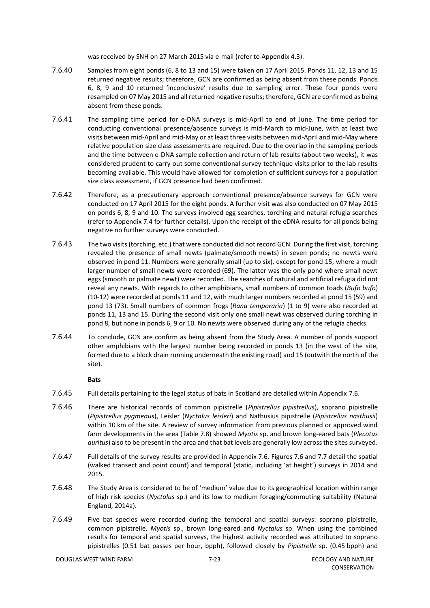was received by SNH on 27 March 2015 via e-mail (refer to Appendix 4.3).

- 7.6.40 Samples from eight ponds (6, 8 to 13 and 15) were taken on 17 April 2015. Ponds 11, 12, 13 and 15 returned negative results; therefore, GCN are confirmed as being absent from these ponds. Ponds 6, 8, 9 and 10 returned 'inconclusive' results due to sampling error. These four ponds were resampled on 07 May 2015 and all returned negative results; therefore, GCN are confirmed as being absent from these ponds.
- 7.6.41 The sampling time period for e-DNA surveys is mid-April to end of June. The time period for conducting conventional presence/absence surveys is mid-March to mid-June, with at least two visits between mid-April and mid-May or at least three visits between mid-April and mid-May where relative population size class assessments are required. Due to the overlap in the sampling periods and the time between e-DNA sample collection and return of lab results (about two weeks), it was considered prudent to carry out some conventional survey technique visits prior to the lab results becoming available. This would have allowed for completion of sufficient surveys for a population size class assessment, if GCN presence had been confirmed.
- 7.6.42 Therefore, as a precautionary approach conventional presence/absence surveys for GCN were conducted on 17 April 2015 for the eight ponds. A further visit was also conducted on 07 May 2015 on ponds 6, 8, 9 and 10. The surveys involved egg searches, torching and natural refugia searches (refer to Appendix 7.4 for further details). Upon the receipt of the eDNA results for all ponds being negative no further surveys were conducted.
- 7.6.43 The two visits(torching, etc.) that were conducted did not record GCN. During the first visit, torching revealed the presence of small newts (palmate/smooth newts) in seven ponds; no newts were observed in pond 11. Numbers were generally small (up to six), except for pond 15, where a much larger number of small newts were recorded (69). The latter was the only pond where small newt eggs (smooth or palmate newt) were recorded. The searches of natural and artificial refugia did not reveal any newts. With regards to other amphibians, small numbers of common toads (*Bufo bufo*) (10-12) were recorded at ponds 11 and 12, with much larger numbers recorded at pond 15 (59) and pond 13 (73). Small numbers of common frogs (*Rana temporaria*) (1 to 9) were also recorded at ponds 11, 13 and 15. During the second visit only one small newt was observed during torching in pond 8, but none in ponds 6, 9 or 10. No newts were observed during any of the refugia checks.
- 7.6.44 To conclude, GCN are confirm as being absent from the Study Area. A number of ponds support other amphibians with the largest number being recorded in ponds 13 (in the west of the site, formed due to a block drain running underneath the existing road) and 15 (outwith the north of the site).

#### **Bats**

- 7.6.45 Full details pertaining to the legal status of bats in Scotland are detailed within Appendix 7.6.
- 7.6.46 There are historical records of common pipistrelle (*Pipistrellus pipistrellus*), soprano pipistrelle (*Pipistrellus pygmeaus*), Leisler (*Nyctalus leisleri*) and Nathusius pipistrelle (*Pipistrellus nasthusii*) within 10 km of the site. A review of survey information from previous planned or approved wind farm developments in the area (Table 7.8) showed *Myotis* sp. and brown long-eared bats (*Plecotus auritus*) also to be present in the area and that bat levels are generally low across the sites surveyed.
- 7.6.47 Full details of the survey results are provided in Appendix 7.6. Figures 7.6 and 7.7 detail the spatial (walked transect and point count) and temporal (static, including 'at height') surveys in 2014 and 2015.
- 7.6.48 The Study Area is considered to be of 'medium' value due to its geographical location within range of high risk species (*Nyctalus* sp.) and its low to medium foraging/commuting suitability (Natural England, 2014a).
- 7.6.49 Five bat species were recorded during the temporal and spatial surveys: soprano pipistrelle, common pipistrelle, *Myotis* sp., brown long-eared and *Nyctalus* sp. When using the combined results for temporal and spatial surveys, the highest activity recorded was attributed to soprano pipistrelles (0.51 bat passes per hour, bpph), followed closely by *Pipistrelle* sp. (0.45 bpph) and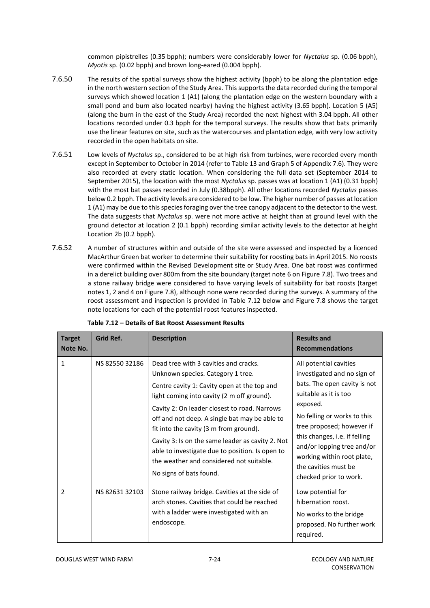common pipistrelles (0.35 bpph); numbers were considerably lower for *Nyctalus* sp. (0.06 bpph), *Myotis* sp. (0.02 bpph) and brown long-eared (0.004 bpph).

- 7.6.50 The results of the spatial surveys show the highest activity (bpph) to be along the plantation edge in the north western section of the Study Area. This supports the data recorded during the temporal surveys which showed location 1 (A1) (along the plantation edge on the western boundary with a small pond and burn also located nearby) having the highest activity (3.65 bpph). Location 5 (A5) (along the burn in the east of the Study Area) recorded the next highest with 3.04 bpph. All other locations recorded under 0.3 bpph for the temporal surveys. The results show that bats primarily use the linear features on site, such as the watercourses and plantation edge, with very low activity recorded in the open habitats on site.
- 7.6.51 Low levels of *Nyctalus* sp., considered to be at high risk from turbines, were recorded every month except in September to October in 2014 (refer to Table 13 and Graph 5 of Appendix 7.6). They were also recorded at every static location. When considering the full data set (September 2014 to September 2015), the location with the most *Nyctalus* sp. passes was at location 1 (A1) (0.31 bpph) with the most bat passes recorded in July (0.38bpph). All other locations recorded *Nyctalus* passes below 0.2 bpph. The activity levels are considered to be low. The higher number of passes at location 1 (A1) may be due to this species foraging over the tree canopy adjacent to the detector to the west. The data suggests that *Nyctalus* sp. were not more active at height than at ground level with the ground detector at location 2 (0.1 bpph) recording similar activity levels to the detector at height Location 2b (0.2 bpph).
- 7.6.52 A number of structures within and outside of the site were assessed and inspected by a licenced MacArthur Green bat worker to determine their suitability for roosting bats in April 2015. No roosts were confirmed within the Revised Development site or Study Area. One bat roost was confirmed in a derelict building over 800m from the site boundary (target note 6 on Figure 7.8). Two trees and a stone railway bridge were considered to have varying levels of suitability for bat roosts (target notes 1, 2 and 4 on Figure 7.8), although none were recorded during the surveys. A summary of the roost assessment and inspection is provided in Table 7.12 below and Figure 7.8 shows the target note locations for each of the potential roost features inspected.

| <b>Target</b><br>Note No. | <b>Grid Ref.</b> | <b>Description</b>                                                                                                                                                                                                                                                                                                                                                                                                                                                                               | <b>Results and</b><br><b>Recommendations</b>                                                                                                                                                                                                                                                                                                 |
|---------------------------|------------------|--------------------------------------------------------------------------------------------------------------------------------------------------------------------------------------------------------------------------------------------------------------------------------------------------------------------------------------------------------------------------------------------------------------------------------------------------------------------------------------------------|----------------------------------------------------------------------------------------------------------------------------------------------------------------------------------------------------------------------------------------------------------------------------------------------------------------------------------------------|
| 1                         | NS 82550 32186   | Dead tree with 3 cavities and cracks.<br>Unknown species. Category 1 tree.<br>Centre cavity 1: Cavity open at the top and<br>light coming into cavity (2 m off ground).<br>Cavity 2: On leader closest to road. Narrows<br>off and not deep. A single bat may be able to<br>fit into the cavity (3 m from ground).<br>Cavity 3: Is on the same leader as cavity 2. Not<br>able to investigate due to position. Is open to<br>the weather and considered not suitable.<br>No signs of bats found. | All potential cavities<br>investigated and no sign of<br>bats. The open cavity is not<br>suitable as it is too<br>exposed.<br>No felling or works to this<br>tree proposed; however if<br>this changes, <i>i.e.</i> if felling<br>and/or lopping tree and/or<br>working within root plate,<br>the cavities must be<br>checked prior to work. |
| $\mathfrak{p}$            | NS 82631 32103   | Stone railway bridge. Cavities at the side of<br>arch stones. Cavities that could be reached<br>with a ladder were investigated with an<br>endoscope.                                                                                                                                                                                                                                                                                                                                            | Low potential for<br>hibernation roost.<br>No works to the bridge<br>proposed. No further work<br>required.                                                                                                                                                                                                                                  |

|  |  | Table 7.12 – Details of Bat Roost Assessment Results |
|--|--|------------------------------------------------------|
|--|--|------------------------------------------------------|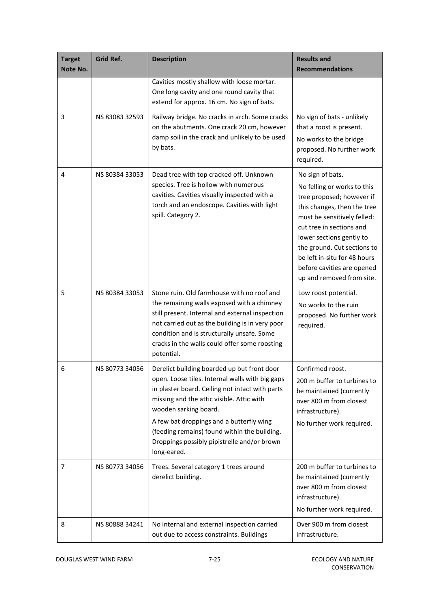| <b>Target</b><br>Note No. | <b>Grid Ref.</b> | <b>Description</b>                                                                                                                                                                                                                                                                                                                                                                | <b>Results and</b><br><b>Recommendations</b>                                                                                                                                                                                                                                                                                 |
|---------------------------|------------------|-----------------------------------------------------------------------------------------------------------------------------------------------------------------------------------------------------------------------------------------------------------------------------------------------------------------------------------------------------------------------------------|------------------------------------------------------------------------------------------------------------------------------------------------------------------------------------------------------------------------------------------------------------------------------------------------------------------------------|
|                           |                  | Cavities mostly shallow with loose mortar.<br>One long cavity and one round cavity that<br>extend for approx. 16 cm. No sign of bats.                                                                                                                                                                                                                                             |                                                                                                                                                                                                                                                                                                                              |
| 3                         | NS 83083 32593   | Railway bridge. No cracks in arch. Some cracks<br>on the abutments. One crack 20 cm, however<br>damp soil in the crack and unlikely to be used<br>by bats.                                                                                                                                                                                                                        | No sign of bats - unlikely<br>that a roost is present.<br>No works to the bridge<br>proposed. No further work<br>required.                                                                                                                                                                                                   |
| $\overline{4}$            | NS 80384 33053   | Dead tree with top cracked off. Unknown<br>species. Tree is hollow with numerous<br>cavities. Cavities visually inspected with a<br>torch and an endoscope. Cavities with light<br>spill. Category 2.                                                                                                                                                                             | No sign of bats.<br>No felling or works to this<br>tree proposed; however if<br>this changes, then the tree<br>must be sensitively felled:<br>cut tree in sections and<br>lower sections gently to<br>the ground. Cut sections to<br>be left in-situ for 48 hours<br>before cavities are opened<br>up and removed from site. |
| 5                         | NS 80384 33053   | Stone ruin. Old farmhouse with no roof and<br>the remaining walls exposed with a chimney<br>still present. Internal and external inspection<br>not carried out as the building is in very poor<br>condition and is structurally unsafe. Some<br>cracks in the walls could offer some roosting<br>potential.                                                                       | Low roost potential.<br>No works to the ruin<br>proposed. No further work<br>required.                                                                                                                                                                                                                                       |
| 6                         | NS 80773 34056   | Derelict building boarded up but front door<br>open. Loose tiles. Internal walls with big gaps<br>in plaster board. Ceiling not intact with parts<br>missing and the attic visible. Attic with<br>wooden sarking board.<br>A few bat droppings and a butterfly wing<br>(feeding remains) found within the building.<br>Droppings possibly pipistrelle and/or brown<br>long-eared. | Confirmed roost.<br>200 m buffer to turbines to<br>be maintained (currently<br>over 800 m from closest<br>infrastructure).<br>No further work required.                                                                                                                                                                      |
| 7                         | NS 80773 34056   | Trees. Several category 1 trees around<br>derelict building.                                                                                                                                                                                                                                                                                                                      | 200 m buffer to turbines to<br>be maintained (currently<br>over 800 m from closest<br>infrastructure).<br>No further work required.                                                                                                                                                                                          |
| 8                         | NS 80888 34241   | No internal and external inspection carried<br>out due to access constraints. Buildings                                                                                                                                                                                                                                                                                           | Over 900 m from closest<br>infrastructure.                                                                                                                                                                                                                                                                                   |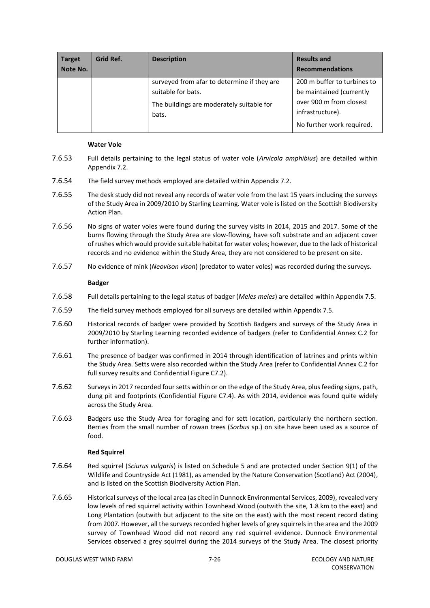| <b>Target</b><br>Note No. | <b>Grid Ref.</b> | <b>Description</b>                                                                                                      | <b>Results and</b><br><b>Recommendations</b>                                                                                        |
|---------------------------|------------------|-------------------------------------------------------------------------------------------------------------------------|-------------------------------------------------------------------------------------------------------------------------------------|
|                           |                  | surveyed from afar to determine if they are<br>suitable for bats.<br>The buildings are moderately suitable for<br>bats. | 200 m buffer to turbines to<br>be maintained (currently<br>over 900 m from closest<br>infrastructure).<br>No further work required. |

#### **Water Vole**

- 7.6.53 Full details pertaining to the legal status of water vole (*Arvicola amphibius*) are detailed within Appendix 7.2.
- 7.6.54 The field survey methods employed are detailed within Appendix 7.2.
- 7.6.55 The desk study did not reveal any records of water vole from the last 15 years including the surveys of the Study Area in 2009/2010 by Starling Learning. Water vole is listed on the Scottish Biodiversity Action Plan.
- 7.6.56 No signs of water voles were found during the survey visits in 2014, 2015 and 2017. Some of the burns flowing through the Study Area are slow-flowing, have soft substrate and an adjacent cover of rushes which would provide suitable habitat for water voles; however, due to the lack of historical records and no evidence within the Study Area, they are not considered to be present on site.
- 7.6.57 No evidence of mink (*Neovison vison*) (predator to water voles) was recorded during the surveys.

#### **Badger**

- 7.6.58 Full details pertaining to the legal status of badger (*Meles meles*) are detailed within Appendix 7.5.
- 7.6.59 The field survey methods employed for all surveys are detailed within Appendix 7.5.
- 7.6.60 Historical records of badger were provided by Scottish Badgers and surveys of the Study Area in 2009/2010 by Starling Learning recorded evidence of badgers (refer to Confidential Annex C.2 for further information).
- 7.6.61 The presence of badger was confirmed in 2014 through identification of latrines and prints within the Study Area. Setts were also recorded within the Study Area (refer to Confidential Annex C.2 for full survey results and Confidential Figure C7.2).
- 7.6.62 Surveys in 2017 recorded four setts within or on the edge of the Study Area, plus feeding signs, path, dung pit and footprints (Confidential Figure C7.4). As with 2014, evidence was found quite widely across the Study Area.
- 7.6.63 Badgers use the Study Area for foraging and for sett location, particularly the northern section. Berries from the small number of rowan trees (*Sorbus* sp.) on site have been used as a source of food.

#### **Red Squirrel**

- <span id="page-27-0"></span>7.6.64 Red squirrel (*Sciurus vulgaris*) is listed on Schedule 5 and are protected under Section 9(1) of the Wildlife and Countryside Act (1981), as amended by the Nature Conservation (Scotland) Act (2004), and is listed on the Scottish Biodiversity Action Plan.
- 7.6.65 Historical surveys of the local area (as cited in Dunnock Environmental Services, 2009), revealed very low levels of red squirrel activity within Townhead Wood (outwith the site, 1.8 km to the east) and Long Plantation (outwith but adjacent to the site on the east) with the most recent record dating from 2007. However, all the surveys recorded higher levels of grey squirrels in the area and the 2009 survey of Townhead Wood did not record any red squirrel evidence. Dunnock Environmental Services observed a grey squirrel during the 2014 surveys of the Study Area. The closest priority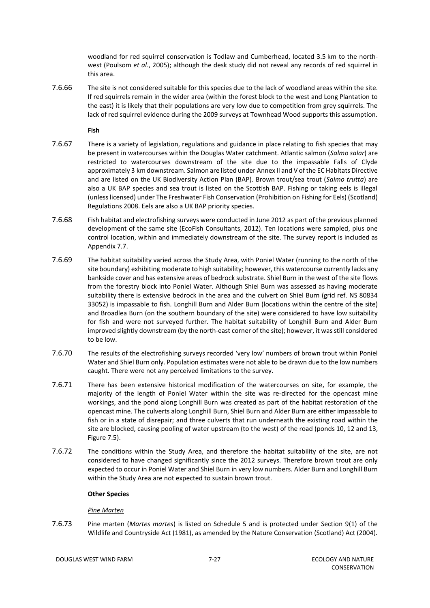woodland for red squirrel conservation is Todlaw and Cumberhead, located 3.5 km to the northwest (Poulsom *et al*., 2005); although the desk study did not reveal any records of red squirrel in this area.

7.6.66 The site is not considered suitable for this species due to the lack of woodland areas within the site. If red squirrels remain in the wider area (within the forest block to the west and Long Plantation to the east) it is likely that their populations are very low due to competition from grey squirrels. The lack of red squirrel evidence during the 2009 surveys at Townhead Wood supports this assumption.

**Fish**

- 7.6.67 There is a variety of legislation, regulations and guidance in place relating to fish species that may be present in watercourses within the Douglas Water catchment. Atlantic salmon (*Salmo salar*) are restricted to watercourses downstream of the site due to the impassable Falls of Clyde approximately 3 km downstream. Salmon are listed under Annex II and V of the EC Habitats Directive and are listed on the UK Biodiversity Action Plan (BAP). Brown trout/sea trout (*Salmo trutta*) are also a UK BAP species and sea trout is listed on the Scottish BAP. Fishing or taking eels is illegal (unless licensed) under The Freshwater Fish Conservation (Prohibition on Fishing for Eels) (Scotland) Regulations 2008. Eels are also a UK BAP priority species.
- 7.6.68 Fish habitat and electrofishing surveys were conducted in June 2012 as part of the previous planned development of the same site (EcoFish Consultants, 2012). Ten locations were sampled, plus one control location, within and immediately downstream of the site. The survey report is included as Appendix 7.7.
- 7.6.69 The habitat suitability varied across the Study Area, with Poniel Water (running to the north of the site boundary) exhibiting moderate to high suitability; however, this watercourse currently lacks any bankside cover and has extensive areas of bedrock substrate. Shiel Burn in the west of the site flows from the forestry block into Poniel Water. Although Shiel Burn was assessed as having moderate suitability there is extensive bedrock in the area and the culvert on Shiel Burn (grid ref. NS 80834 33052) is impassable to fish. Longhill Burn and Alder Burn (locations within the centre of the site) and Broadlea Burn (on the southern boundary of the site) were considered to have low suitability for fish and were not surveyed further. The habitat suitability of Longhill Burn and Alder Burn improved slightly downstream (by the north-east corner of the site); however, it was still considered to be low.
- 7.6.70 The results of the electrofishing surveys recorded 'very low' numbers of brown trout within Poniel Water and Shiel Burn only. Population estimates were not able to be drawn due to the low numbers caught. There were not any perceived limitations to the survey.
- 7.6.71 There has been extensive historical modification of the watercourses on site, for example, the majority of the length of Poniel Water within the site was re-directed for the opencast mine workings, and the pond along Longhill Burn was created as part of the habitat restoration of the opencast mine. The culverts along Longhill Burn, Shiel Burn and Alder Burn are either impassable to fish or in a state of disrepair; and three culverts that run underneath the existing road within the site are blocked, causing pooling of water upstream (to the west) of the road (ponds 10, 12 and 13, Figure 7.5).
- 7.6.72 The conditions within the Study Area, and therefore the habitat suitability of the site, are not considered to have changed significantly since the 2012 surveys. Therefore brown trout are only expected to occur in Poniel Water and Shiel Burn in very low numbers. Alder Burn and Longhill Burn within the Study Area are not expected to sustain brown trout.

#### **Other Species**

#### *Pine Marten*

7.6.73 Pine marten (*Martes martes*) is listed on Schedule 5 and is protected under Section 9(1) of the Wildlife and Countryside Act (1981), as amended by the Nature Conservation (Scotland) Act (2004).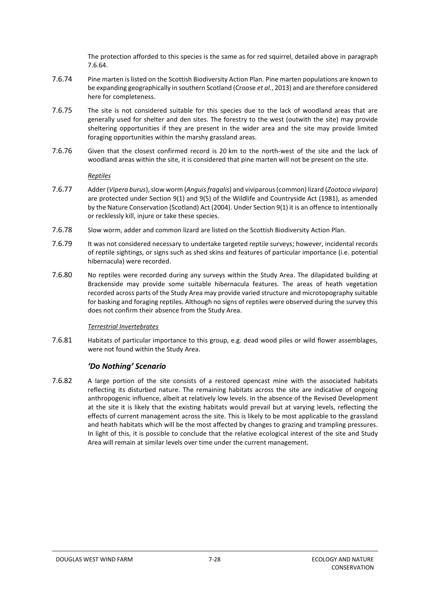The protection afforded to this species is the same as for red squirrel, detailed above in paragraph [7.6.64.](#page-27-0)

- 7.6.74 Pine marten is listed on the Scottish Biodiversity Action Plan. Pine marten populations are known to be expanding geographically in southern Scotland (Croose *et al.*, 2013) and are therefore considered here for completeness.
- 7.6.75 The site is not considered suitable for this species due to the lack of woodland areas that are generally used for shelter and den sites. The forestry to the west (outwith the site) may provide sheltering opportunities if they are present in the wider area and the site may provide limited foraging opportunities within the marshy grassland areas.
- 7.6.76 Given that the closest confirmed record is 20 km to the north-west of the site and the lack of woodland areas within the site, it is considered that pine marten will not be present on the site.

#### *Reptiles*

- 7.6.77 Adder (*Vipera burus*), slow worm (*Anguis fragalis*) and viviparous (common) lizard (*Zootoca vivipara*) are protected under Section 9(1) and 9(5) of the Wildlife and Countryside Act (1981), as amended by the Nature Conservation (Scotland) Act (2004). Under Section 9(1) it is an offence to intentionally or recklessly kill, injure or take these species.
- 7.6.78 Slow worm, adder and common lizard are listed on the Scottish Biodiversity Action Plan.
- 7.6.79 It was not considered necessary to undertake targeted reptile surveys; however, incidental records of reptile sightings, or signs such as shed skins and features of particular importance (i.e. potential hibernacula) were recorded.
- 7.6.80 No reptiles were recorded during any surveys within the Study Area. The dilapidated building at Brackenside may provide some suitable hibernacula features. The areas of heath vegetation recorded across parts of the Study Area may provide varied structure and microtopography suitable for basking and foraging reptiles. Although no signs of reptiles were observed during the survey this does not confirm their absence from the Study Area.

#### *Terrestrial Invertebrates*

7.6.81 Habitats of particular importance to this group, e.g. dead wood piles or wild flower assemblages, were not found within the Study Area.

# *'Do Nothing' Scenario*

7.6.82 A large portion of the site consists of a restored opencast mine with the associated habitats reflecting its disturbed nature. The remaining habitats across the site are indicative of ongoing anthropogenic influence, albeit at relatively low levels. In the absence of the Revised Development at the site it is likely that the existing habitats would prevail but at varying levels, reflecting the effects of current management across the site. This is likely to be most applicable to the grassland and heath habitats which will be the most affected by changes to grazing and trampling pressures. In light of this, it is possible to conclude that the relative ecological interest of the site and Study Area will remain at similar levels over time under the current management.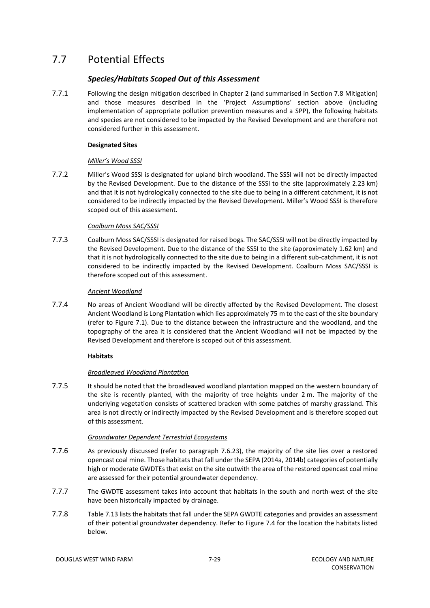# <span id="page-30-0"></span>7.7 Potential Effects

# *Species/Habitats Scoped Out of this Assessment*

7.7.1 Following the design mitigation described in Chapter 2 (and summarised in Section 7.8 Mitigation) and those measures described in the 'Project Assumptions' section above (including implementation of appropriate pollution prevention measures and a SPP), the following habitats and species are not considered to be impacted by the Revised Development and are therefore not considered further in this assessment.

#### **Designated Sites**

### *Miller's Wood SSSI*

7.7.2 Miller's Wood SSSI is designated for upland birch woodland. The SSSI will not be directly impacted by the Revised Development. Due to the distance of the SSSI to the site (approximately 2.23 km) and that it is not hydrologically connected to the site due to being in a different catchment, it is not considered to be indirectly impacted by the Revised Development. Miller's Wood SSSI is therefore scoped out of this assessment.

### *Coalburn Moss SAC/SSSI*

7.7.3 Coalburn Moss SAC/SSSI is designated for raised bogs. The SAC/SSSI will not be directly impacted by the Revised Development. Due to the distance of the SSSI to the site (approximately 1.62 km) and that it is not hydrologically connected to the site due to being in a different sub-catchment, it is not considered to be indirectly impacted by the Revised Development. Coalburn Moss SAC/SSSI is therefore scoped out of this assessment.

### *Ancient Woodland*

7.7.4 No areas of Ancient Woodland will be directly affected by the Revised Development. The closest Ancient Woodland is Long Plantation which lies approximately 75 m to the east of the site boundary (refer to Figure 7.1). Due to the distance between the infrastructure and the woodland, and the topography of the area it is considered that the Ancient Woodland will not be impacted by the Revised Development and therefore is scoped out of this assessment.

# **Habitats**

# *Broadleaved Woodland Plantation*

7.7.5 It should be noted that the broadleaved woodland plantation mapped on the western boundary of the site is recently planted, with the majority of tree heights under 2 m. The majority of the underlying vegetation consists of scattered bracken with some patches of marshy grassland. This area is not directly or indirectly impacted by the Revised Development and is therefore scoped out of this assessment.

#### *Groundwater Dependent Terrestrial Ecosystems*

- 7.7.6 As previously discussed (refer to paragraph [7.6.23\)](#page-20-0), the majority of the site lies over a restored opencast coal mine. Those habitats that fall under the SEPA (2014a, 2014b) categories of potentially high or moderate GWDTEs that exist on the site outwith the area of the restored opencast coal mine are assessed for their potential groundwater dependency.
- 7.7.7 The GWDTE assessment takes into account that habitats in the south and north-west of the site have been historically impacted by drainage.
- 7.7.8 Table 7.13 lists the habitats that fall under the SEPA GWDTE categories and provides an assessment of their potential groundwater dependency. Refer to Figure 7.4 for the location the habitats listed below.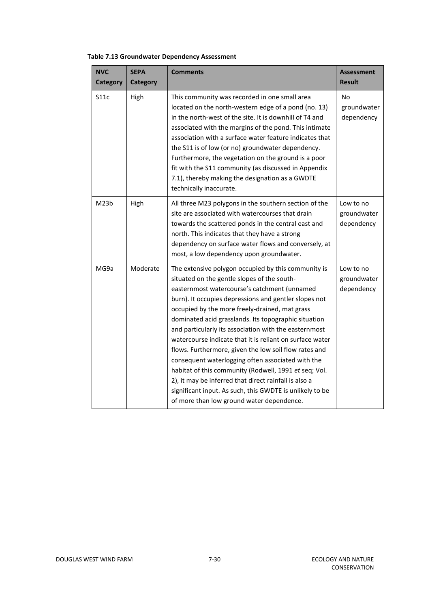| <b>NVC</b><br><b>Category</b> | <b>SEPA</b><br><b>Category</b> | <b>Comments</b>                                                                                                                                                                                                                                                                                                                                                                                                                                                                                                                                                                                                                                                                                                                                                                     | <b>Assessment</b><br><b>Result</b>     |
|-------------------------------|--------------------------------|-------------------------------------------------------------------------------------------------------------------------------------------------------------------------------------------------------------------------------------------------------------------------------------------------------------------------------------------------------------------------------------------------------------------------------------------------------------------------------------------------------------------------------------------------------------------------------------------------------------------------------------------------------------------------------------------------------------------------------------------------------------------------------------|----------------------------------------|
| S11c                          | High                           | This community was recorded in one small area<br>located on the north-western edge of a pond (no. 13)<br>in the north-west of the site. It is downhill of T4 and<br>associated with the margins of the pond. This intimate<br>association with a surface water feature indicates that<br>the S11 is of low (or no) groundwater dependency.<br>Furthermore, the vegetation on the ground is a poor<br>fit with the S11 community (as discussed in Appendix<br>7.1), thereby making the designation as a GWDTE<br>technically inaccurate.                                                                                                                                                                                                                                             | No<br>groundwater<br>dependency        |
| M <sub>23b</sub>              | High                           | All three M23 polygons in the southern section of the<br>site are associated with watercourses that drain<br>towards the scattered ponds in the central east and<br>north. This indicates that they have a strong<br>dependency on surface water flows and conversely, at<br>most, a low dependency upon groundwater.                                                                                                                                                                                                                                                                                                                                                                                                                                                               | Low to no<br>groundwater<br>dependency |
| MG9a                          | Moderate                       | The extensive polygon occupied by this community is<br>situated on the gentle slopes of the south-<br>easternmost watercourse's catchment (unnamed<br>burn). It occupies depressions and gentler slopes not<br>occupied by the more freely-drained, mat grass<br>dominated acid grasslands. Its topographic situation<br>and particularly its association with the easternmost<br>watercourse indicate that it is reliant on surface water<br>flows. Furthermore, given the low soil flow rates and<br>consequent waterlogging often associated with the<br>habitat of this community (Rodwell, 1991 et seq; Vol.<br>2), it may be inferred that direct rainfall is also a<br>significant input. As such, this GWDTE is unlikely to be<br>of more than low ground water dependence. | Low to no<br>groundwater<br>dependency |

### **Table 7.13 Groundwater Dependency Assessment**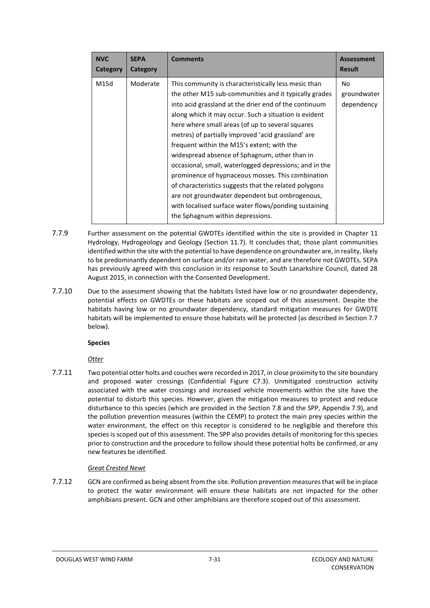| <b>NVC</b> | <b>SEPA</b> | <b>Comments</b>                                                                                                                                                                                                                                                                                                                                                                                                                                                                                                                                                                                                                                                                                                                                                 | <b>Assessment</b>               |
|------------|-------------|-----------------------------------------------------------------------------------------------------------------------------------------------------------------------------------------------------------------------------------------------------------------------------------------------------------------------------------------------------------------------------------------------------------------------------------------------------------------------------------------------------------------------------------------------------------------------------------------------------------------------------------------------------------------------------------------------------------------------------------------------------------------|---------------------------------|
| Category   | Category    |                                                                                                                                                                                                                                                                                                                                                                                                                                                                                                                                                                                                                                                                                                                                                                 | <b>Result</b>                   |
| M15d       | Moderate    | This community is characteristically less mesic than<br>the other M15 sub-communities and it typically grades<br>into acid grassland at the drier end of the continuum<br>along which it may occur. Such a situation is evident<br>here where small areas (of up to several squares<br>metres) of partially improved 'acid grassland' are<br>frequent within the M15's extent; with the<br>widespread absence of Sphagnum, other than in<br>occasional, small, waterlogged depressions; and in the<br>prominence of hypnaceous mosses. This combination<br>of characteristics suggests that the related polygons<br>are not groundwater dependent but ombrogenous,<br>with localised surface water flows/ponding sustaining<br>the Sphagnum within depressions. | No<br>groundwater<br>dependency |

- 7.7.9 Further assessment on the potential GWDTEs identified within the site is provided in Chapter 11 Hydrology, Hydrogeology and Geology (Section 11.7). It concludes that, those plant communities identified within the site with the potential to have dependence on groundwater are, in reality, likely to be predominantly dependent on surface and/or rain water, and are therefore not GWDTEs. SEPA has previously agreed with this conclusion in its response to South Lanarkshire Council, dated 28 August 2015, in connection with the Consented Development.
- 7.7.10 Due to the assessment showing that the habitats listed have low or no groundwater dependency, potential effects on GWDTEs or these habitats are scoped out of this assessment. Despite the habitats having low or no groundwater dependency, standard mitigation measures for GWDTE habitats will be implemented to ensure those habitats will be protected (as described in Section 7.7 below).

#### **Species**

# *Otter*

7.7.11 Two potential otter holts and couches were recorded in 2017, in close proximity to the site boundary and proposed water crossings (Confidential Figure C7.3). Unmitigated construction activity associated with the water crossings and increased vehicle movements within the site have the potential to disturb this species. However, given the mitigation measures to protect and reduce disturbance to this species (which are provided in the Section 7.8 and the SPP, Appendix 7.9), and the pollution prevention measures (within the CEMP) to protect the main prey species within the water environment, the effect on this receptor is considered to be negligible and therefore this species is scoped out of this assessment. The SPP also provides details of monitoring for this species prior to construction and the procedure to follow should these potential holts be confirmed, or any new features be identified.

# *Great Crested Newt*

7.7.12 GCN are confirmed as being absent from the site. Pollution prevention measures that will be in place to protect the water environment will ensure these habitats are not impacted for the other amphibians present. GCN and other amphibians are therefore scoped out of this assessment.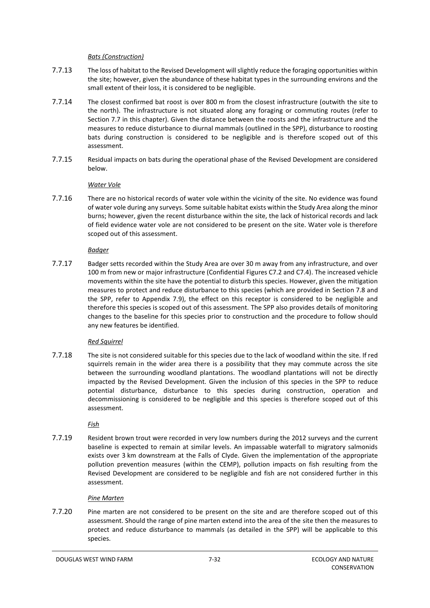#### *Bats (Construction)*

- <span id="page-33-0"></span>7.7.13 The loss of habitat to the Revised Development will slightly reduce the foraging opportunities within the site; however, given the abundance of these habitat types in the surrounding environs and the small extent of their loss, it is considered to be negligible.
- 7.7.14 The closest confirmed bat roost is over 800 m from the closest infrastructure (outwith the site to the north). The infrastructure is not situated along any foraging or commuting routes (refer to Section 7.7 in this chapter). Given the distance between the roosts and the infrastructure and the measures to reduce disturbance to diurnal mammals (outlined in the SPP), disturbance to roosting bats during construction is considered to be negligible and is therefore scoped out of this assessment.
- <span id="page-33-1"></span>7.7.15 Residual impacts on bats during the operational phase of the Revised Development are considered below.

#### *Water Vole*

7.7.16 There are no historical records of water vole within the vicinity of the site. No evidence was found of water vole during any surveys. Some suitable habitat exists within the Study Area along the minor burns; however, given the recent disturbance within the site, the lack of historical records and lack of field evidence water vole are not considered to be present on the site. Water vole is therefore scoped out of this assessment.

#### *Badger*

7.7.17 Badger setts recorded within the Study Area are over 30 m away from any infrastructure, and over 100 m from new or major infrastructure (Confidential Figures C7.2 and C7.4). The increased vehicle movements within the site have the potential to disturb this species. However, given the mitigation measures to protect and reduce disturbance to this species (which are provided in Section 7.8 and the SPP, refer to Appendix 7.9), the effect on this receptor is considered to be negligible and therefore this species is scoped out of this assessment. The SPP also provides details of monitoring changes to the baseline for this species prior to construction and the procedure to follow should any new features be identified.

# *Red Squirrel*

7.7.18 The site is not considered suitable for this species due to the lack of woodland within the site. If red squirrels remain in the wider area there is a possibility that they may commute across the site between the surrounding woodland plantations. The woodland plantations will not be directly impacted by the Revised Development. Given the inclusion of this species in the SPP to reduce potential disturbance, disturbance to this species during construction, operation and decommissioning is considered to be negligible and this species is therefore scoped out of this assessment.

*Fish*

7.7.19 Resident brown trout were recorded in very low numbers during the 2012 surveys and the current baseline is expected to remain at similar levels. An impassable waterfall to migratory salmonids exists over 3 km downstream at the Falls of Clyde. Given the implementation of the appropriate pollution prevention measures (within the CEMP), pollution impacts on fish resulting from the Revised Development are considered to be negligible and fish are not considered further in this assessment.

#### *Pine Marten*

7.7.20 Pine marten are not considered to be present on the site and are therefore scoped out of this assessment. Should the range of pine marten extend into the area of the site then the measures to protect and reduce disturbance to mammals (as detailed in the SPP) will be applicable to this species.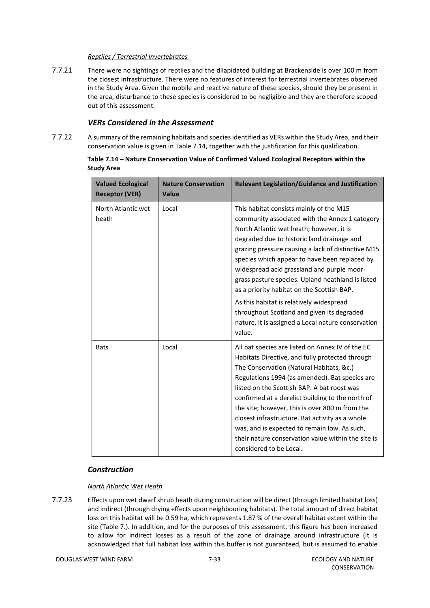#### *Reptiles / Terrestrial Invertebrates*

7.7.21 There were no sightings of reptiles and the dilapidated building at Brackenside is over 100 m from the closest infrastructure. There were no features of interest for terrestrial invertebrates observed in the Study Area. Given the mobile and reactive nature of these species, should they be present in the area, disturbance to these species is considered to be negligible and they are therefore scoped out of this assessment.

# *VERs Considered in the Assessment*

7.7.22 A summary of the remaining habitats and species identified as VERs within the Study Area, and their conservation value is given in Table 7.14, together with the justification for this qualification.

| Table 7.14 – Nature Conservation Value of Confirmed Valued Ecological Receptors within the |  |  |  |  |  |  |
|--------------------------------------------------------------------------------------------|--|--|--|--|--|--|
| <b>Study Area</b>                                                                          |  |  |  |  |  |  |
|                                                                                            |  |  |  |  |  |  |

| <b>Valued Ecological</b><br><b>Receptor (VER)</b> | <b>Nature Conservation</b><br>Value | <b>Relevant Legislation/Guidance and Justification</b>                                                                                                                                                                                                                                                                                                                                                                                                                                                                                                                                                |
|---------------------------------------------------|-------------------------------------|-------------------------------------------------------------------------------------------------------------------------------------------------------------------------------------------------------------------------------------------------------------------------------------------------------------------------------------------------------------------------------------------------------------------------------------------------------------------------------------------------------------------------------------------------------------------------------------------------------|
| North Atlantic wet<br>heath                       | Local                               | This habitat consists mainly of the M15<br>community associated with the Annex 1 category<br>North Atlantic wet heath; however, it is<br>degraded due to historic land drainage and<br>grazing pressure causing a lack of distinctive M15<br>species which appear to have been replaced by<br>widespread acid grassland and purple moor-<br>grass pasture species. Upland heathland is listed<br>as a priority habitat on the Scottish BAP.<br>As this habitat is relatively widespread<br>throughout Scotland and given its degraded<br>nature, it is assigned a Local nature conservation<br>value. |
| <b>Bats</b>                                       | Local                               | All bat species are listed on Annex IV of the EC<br>Habitats Directive, and fully protected through<br>The Conservation (Natural Habitats, &c.)<br>Regulations 1994 (as amended). Bat species are<br>listed on the Scottish BAP. A bat roost was<br>confirmed at a derelict building to the north of<br>the site; however, this is over 800 m from the<br>closest infrastructure. Bat activity as a whole<br>was, and is expected to remain low. As such,<br>their nature conservation value within the site is<br>considered to be Local.                                                            |

# *Construction*

#### *North Atlantic Wet Heath*

<span id="page-34-0"></span>7.7.23 Effects upon wet dwarf shrub heath during construction will be direct (through limited habitat loss) and indirect (through drying effects upon neighbouring habitats). The total amount of direct habitat loss on this habitat will be 0.59 ha, which represents 1.87 % of the overall habitat extent within the site [\(Table 7.\)](#page-20-1). In addition, and for the purposes of this assessment, this figure has been increased to allow for indirect losses as a result of the zone of drainage around infrastructure (it is acknowledged that full habitat loss within this buffer is not guaranteed, but is assumed to enable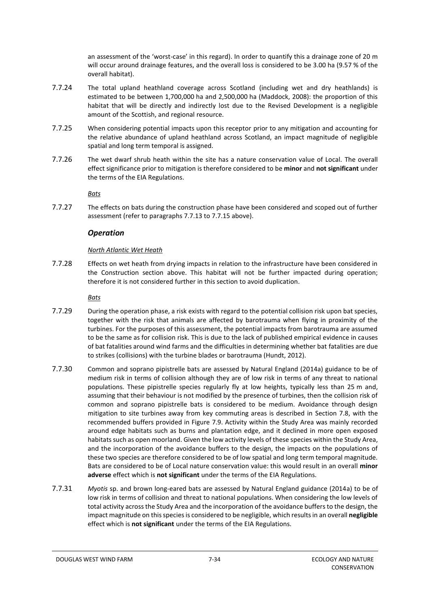an assessment of the 'worst-case' in this regard). In order to quantify this a drainage zone of 20 m will occur around drainage features, and the overall loss is considered to be 3.00 ha (9.57 % of the overall habitat).

- 7.7.24 The total upland heathland coverage across Scotland (including wet and dry heathlands) is estimated to be between 1,700,000 ha and 2,500,000 ha (Maddock, 2008): the proportion of this habitat that will be directly and indirectly lost due to the Revised Development is a negligible amount of the Scottish, and regional resource.
- 7.7.25 When considering potential impacts upon this receptor prior to any mitigation and accounting for the relative abundance of upland heathland across Scotland, an impact magnitude of negligible spatial and long term temporal is assigned.
- <span id="page-35-1"></span>7.7.26 The wet dwarf shrub heath within the site has a nature conservation value of Local. The overall effect significance prior to mitigation is therefore considered to be **minor** and **not significant** under the terms of the EIA Regulations.

*Bats*

<span id="page-35-0"></span>7.7.27 The effects on bats during the construction phase have been considered and scoped out of further assessment (refer to paragraphs [7.7.13](#page-33-0) t[o 7.7.15](#page-33-1) above).

# *Operation*

### *North Atlantic Wet Heath*

7.7.28 Effects on wet heath from drying impacts in relation to the infrastructure have been considered in the Construction section above. This habitat will not be further impacted during operation; therefore it is not considered further in this section to avoid duplication.

### *Bats*

- 7.7.29 During the operation phase, a risk exists with regard to the potential collision risk upon bat species, together with the risk that animals are affected by barotrauma when flying in proximity of the turbines. For the purposes of this assessment, the potential impacts from barotrauma are assumed to be the same as for collision risk. This is due to the lack of published empirical evidence in causes of bat fatalities around wind farms and the difficulties in determining whether bat fatalities are due to strikes (collisions) with the turbine blades or barotrauma (Hundt, 2012).
- 7.7.30 Common and soprano pipistrelle bats are assessed by Natural England (2014a) guidance to be of medium risk in terms of collision although they are of low risk in terms of any threat to national populations. These pipistrelle species regularly fly at low heights, typically less than 25 m and, assuming that their behaviour is not modified by the presence of turbines, then the collision risk of common and soprano pipistrelle bats is considered to be medium. Avoidance through design mitigation to site turbines away from key commuting areas is described in Section 7.8, with the recommended buffers provided in Figure 7.9. Activity within the Study Area was mainly recorded around edge habitats such as burns and plantation edge, and it declined in more open exposed habitats such as open moorland. Given the low activity levels of these species within the Study Area, and the incorporation of the avoidance buffers to the design, the impacts on the populations of these two species are therefore considered to be of low spatial and long term temporal magnitude. Bats are considered to be of Local nature conservation value: this would result in an overall **minor adverse** effect which is **not significant** under the terms of the EIA Regulations.
- 7.7.31 *Myotis* sp. and brown long-eared bats are assessed by Natural England guidance (2014a) to be of low risk in terms of collision and threat to national populations. When considering the low levels of total activity across the Study Area and the incorporation of the avoidance buffers to the design, the impact magnitude on this species is considered to be negligible, which results in an overall **negligible** effect which is **not significant** under the terms of the EIA Regulations.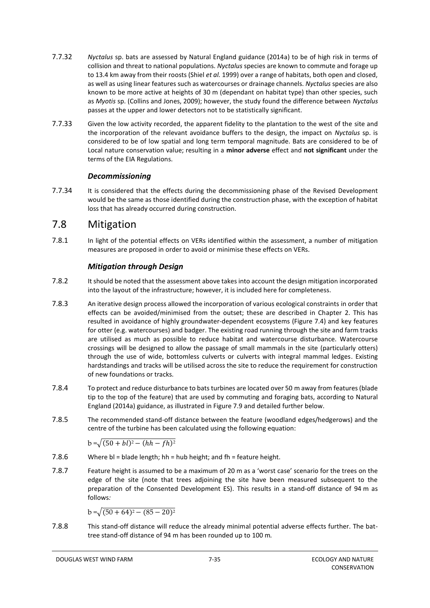- 7.7.32 *Nyctalus* sp. bats are assessed by Natural England guidance (2014a) to be of high risk in terms of collision and threat to national populations. *Nyctalus* species are known to commute and forage up to 13.4 km away from their roosts (Shiel *et al.* 1999) over a range of habitats, both open and closed, as well as using linear features such as watercourses or drainage channels. *Nyctalus* species are also known to be more active at heights of 30 m (dependant on habitat type) than other species, such as *Myotis* sp. (Collins and Jones, 2009); however, the study found the difference between *Nyctalus* passes at the upper and lower detectors not to be statistically significant.
- 7.7.33 Given the low activity recorded, the apparent fidelity to the plantation to the west of the site and the incorporation of the relevant avoidance buffers to the design, the impact on *Nyctalus* sp. is considered to be of low spatial and long term temporal magnitude. Bats are considered to be of Local nature conservation value; resulting in a **minor adverse** effect and **not significant** under the terms of the EIA Regulations.

# *Decommissioning*

7.7.34 It is considered that the effects during the decommissioning phase of the Revised Development would be the same as those identified during the construction phase, with the exception of habitat loss that has already occurred during construction.

# <span id="page-36-0"></span>7.8 Mitigation

7.8.1 In light of the potential effects on VERs identified within the assessment, a number of mitigation measures are proposed in order to avoid or minimise these effects on VERs.

# *Mitigation through Design*

- 7.8.2 It should be noted that the assessment above takes into account the design mitigation incorporated into the layout of the infrastructure; however, it is included here for completeness.
- 7.8.3 An iterative design process allowed the incorporation of various ecological constraints in order that effects can be avoided/minimised from the outset; these are described in Chapter 2. This has resulted in avoidance of highly groundwater-dependent ecosystems (Figure 7.4) and key features for otter (e.g. watercourses) and badger. The existing road running through the site and farm tracks are utilised as much as possible to reduce habitat and watercourse disturbance. Watercourse crossings will be designed to allow the passage of small mammals in the site (particularly otters) through the use of wide, bottomless culverts or culverts with integral mammal ledges. Existing hardstandings and tracks will be utilised across the site to reduce the requirement for construction of new foundations or tracks.
- 7.8.4 To protect and reduce disturbance to bats turbines are located over 50 m away from features (blade tip to the top of the feature) that are used by commuting and foraging bats, according to Natural England (2014a) guidance, as illustrated in Figure 7.9 and detailed further below.
- 7.8.5 The recommended stand-off distance between the feature (woodland edges/hedgerows) and the centre of the turbine has been calculated using the following equation:

$$
b = \sqrt{(50 + bl)^2 - (hh - fh)^2}
$$

- 7.8.6 Where bl = blade length; hh = hub height; and fh = feature height.
- 7.8.7 Feature height is assumed to be a maximum of 20 m as a 'worst case' scenario for the trees on the edge of the site (note that trees adjoining the site have been measured subsequent to the preparation of the Consented Development ES). This results in a stand-off distance of 94 m as follows*:*

$$
b = \sqrt{(50 + 64)^2 - (85 - 20)^2}
$$

7.8.8 This stand-off distance will reduce the already minimal potential adverse effects further. The battree stand-off distance of 94 m has been rounded up to 100 m*.*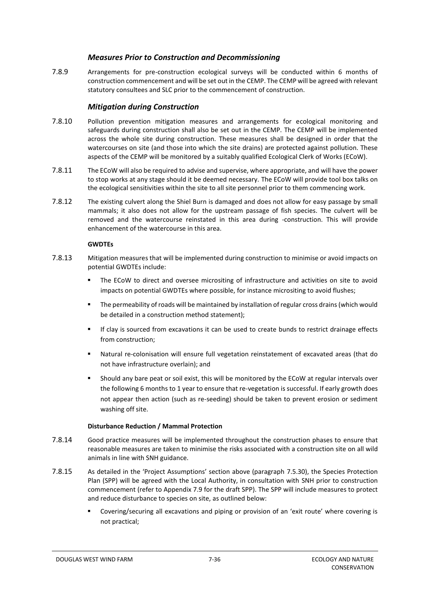# *Measures Prior to Construction and Decommissioning*

7.8.9 Arrangements for pre-construction ecological surveys will be conducted within 6 months of construction commencement and will be set out in the CEMP. The CEMP will be agreed with relevant statutory consultees and SLC prior to the commencement of construction.

### *Mitigation during Construction*

- 7.8.10 Pollution prevention mitigation measures and arrangements for ecological monitoring and safeguards during construction shall also be set out in the CEMP. The CEMP will be implemented across the whole site during construction. These measures shall be designed in order that the watercourses on site (and those into which the site drains) are protected against pollution. These aspects of the CEMP will be monitored by a suitably qualified Ecological Clerk of Works (ECoW).
- 7.8.11 The ECoW will also be required to advise and supervise, where appropriate, and will have the power to stop works at any stage should it be deemed necessary. The ECoW will provide tool box talks on the ecological sensitivities within the site to all site personnel prior to them commencing work.
- 7.8.12 The existing culvert along the Shiel Burn is damaged and does not allow for easy passage by small mammals; it also does not allow for the upstream passage of fish species. The culvert will be removed and the watercourse reinstated in this area during -construction. This will provide enhancement of the watercourse in this area.

#### **GWDTEs**

- 7.8.13 Mitigation measures that will be implemented during construction to minimise or avoid impacts on potential GWDTEs include:
	- The ECoW to direct and oversee micrositing of infrastructure and activities on site to avoid impacts on potential GWDTEs where possible, for instance micrositing to avoid flushes;
	- The permeability of roads will be maintained by installation of regular cross drains (which would be detailed in a construction method statement);
	- If clay is sourced from excavations it can be used to create bunds to restrict drainage effects from construction;
	- Natural re-colonisation will ensure full vegetation reinstatement of excavated areas (that do not have infrastructure overlain); and
	- Should any bare peat or soil exist, this will be monitored by the ECoW at regular intervals over the following 6 months to 1 year to ensure that re-vegetation is successful. If early growth does not appear then action (such as re-seeding) should be taken to prevent erosion or sediment washing off site.

#### **Disturbance Reduction / Mammal Protection**

- 7.8.14 Good practice measures will be implemented throughout the construction phases to ensure that reasonable measures are taken to minimise the risks associated with a construction site on all wild animals in line with SNH guidance.
- 7.8.15 As detailed in the 'Project Assumptions' section above (paragraph [7.5.30\)](#page-15-2), the Species Protection Plan (SPP) will be agreed with the Local Authority, in consultation with SNH prior to construction commencement (refer to Appendix 7.9 for the draft SPP). The SPP will include measures to protect and reduce disturbance to species on site, as outlined below:
	- Covering/securing all excavations and piping or provision of an 'exit route' where covering is not practical;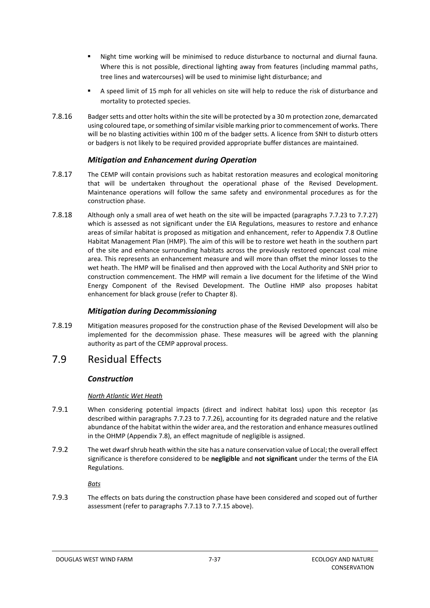- Night time working will be minimised to reduce disturbance to nocturnal and diurnal fauna. Where this is not possible, directional lighting away from features (including mammal paths, tree lines and watercourses) will be used to minimise light disturbance; and
- A speed limit of 15 mph for all vehicles on site will help to reduce the risk of disturbance and mortality to protected species.
- 7.8.16 Badger setts and otter holts within the site will be protected by a 30 m protection zone, demarcated using coloured tape, or something of similar visible marking prior to commencement of works. There will be no blasting activities within 100 m of the badger setts. A licence from SNH to disturb otters or badgers is not likely to be required provided appropriate buffer distances are maintained.

# *Mitigation and Enhancement during Operation*

- 7.8.17 The CEMP will contain provisions such as habitat restoration measures and ecological monitoring that will be undertaken throughout the operational phase of the Revised Development. Maintenance operations will follow the same safety and environmental procedures as for the construction phase.
- 7.8.18 Although only a small area of wet heath on the site will be impacted (paragraphs [7.7.23](#page-34-0) to [7.7.27\)](#page-35-0) which is assessed as not significant under the EIA Regulations, measures to restore and enhance areas of similar habitat is proposed as mitigation and enhancement, refer to Appendix 7.8 Outline Habitat Management Plan (HMP). The aim of this will be to restore wet heath in the southern part of the site and enhance surrounding habitats across the previously restored opencast coal mine area. This represents an enhancement measure and will more than offset the minor losses to the wet heath. The HMP will be finalised and then approved with the Local Authority and SNH prior to construction commencement. The HMP will remain a live document for the lifetime of the Wind Energy Component of the Revised Development. The Outline HMP also proposes habitat enhancement for black grouse (refer to Chapter 8).

# *Mitigation during Decommissioning*

7.8.19 Mitigation measures proposed for the construction phase of the Revised Development will also be implemented for the decommission phase. These measures will be agreed with the planning authority as part of the CEMP approval process.

# <span id="page-38-0"></span>7.9 Residual Effects

# *Construction*

# *North Atlantic Wet Heath*

- 7.9.1 When considering potential impacts (direct and indirect habitat loss) upon this receptor (as described within paragraphs [7.7.23](#page-34-0) to [7.7.26\)](#page-35-1), accounting for its degraded nature and the relative abundance of the habitat within the wider area, and the restoration and enhance measures outlined in the OHMP (Appendix 7.8), an effect magnitude of negligible is assigned.
- 7.9.2 The wet dwarf shrub heath within the site has a nature conservation value of Local; the overall effect significance is therefore considered to be **negligible** and **not significant** under the terms of the EIA Regulations.

*Bats*

7.9.3 The effects on bats during the construction phase have been considered and scoped out of further assessment (refer to paragraphs [7.7.13](#page-33-0) t[o 7.7.15](#page-33-1) above).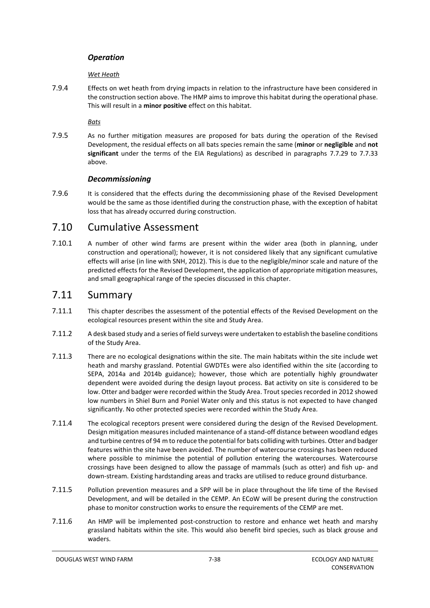# *Operation*

#### *Wet Heath*

7.9.4 Effects on wet heath from drying impacts in relation to the infrastructure have been considered in the construction section above. The HMP aims to improve this habitat during the operational phase. This will result in a **minor positive** effect on this habitat.

*Bats*

7.9.5 As no further mitigation measures are proposed for bats during the operation of the Revised Development, the residual effects on all bats species remain the same (**minor** or **negligible** and **not significant** under the terms of the EIA Regulations) as described in paragraphs 7.7.29 to 7.7.33 above.

# *Decommissioning*

7.9.6 It is considered that the effects during the decommissioning phase of the Revised Development would be the same as those identified during the construction phase, with the exception of habitat loss that has already occurred during construction.

# <span id="page-39-0"></span>7.10 Cumulative Assessment

7.10.1 A number of other wind farms are present within the wider area (both in planning, under construction and operational); however, it is not considered likely that any significant cumulative effects will arise (in line with SNH, 2012). This is due to the negligible/minor scale and nature of the predicted effects for the Revised Development, the application of appropriate mitigation measures, and small geographical range of the species discussed in this chapter.

# <span id="page-39-1"></span>7.11 Summary

- 7.11.1 This chapter describes the assessment of the potential effects of the Revised Development on the ecological resources present within the site and Study Area.
- 7.11.2 A desk based study and a series of field surveys were undertaken to establish the baseline conditions of the Study Area.
- 7.11.3 There are no ecological designations within the site. The main habitats within the site include wet heath and marshy grassland. Potential GWDTEs were also identified within the site (according to SEPA, 2014a and 2014b guidance); however, those which are potentially highly groundwater dependent were avoided during the design layout process. Bat activity on site is considered to be low. Otter and badger were recorded within the Study Area. Trout species recorded in 2012 showed low numbers in Shiel Burn and Poniel Water only and this status is not expected to have changed significantly. No other protected species were recorded within the Study Area.
- 7.11.4 The ecological receptors present were considered during the design of the Revised Development. Design mitigation measures included maintenance of a stand-off distance between woodland edges and turbine centres of 94 m to reduce the potential for bats colliding with turbines. Otter and badger features within the site have been avoided. The number of watercourse crossings has been reduced where possible to minimise the potential of pollution entering the watercourses. Watercourse crossings have been designed to allow the passage of mammals (such as otter) and fish up- and down-stream. Existing hardstanding areas and tracks are utilised to reduce ground disturbance.
- 7.11.5 Pollution prevention measures and a SPP will be in place throughout the life time of the Revised Development, and will be detailed in the CEMP. An ECoW will be present during the construction phase to monitor construction works to ensure the requirements of the CEMP are met.
- 7.11.6 An HMP will be implemented post-construction to restore and enhance wet heath and marshy grassland habitats within the site. This would also benefit bird species, such as black grouse and waders.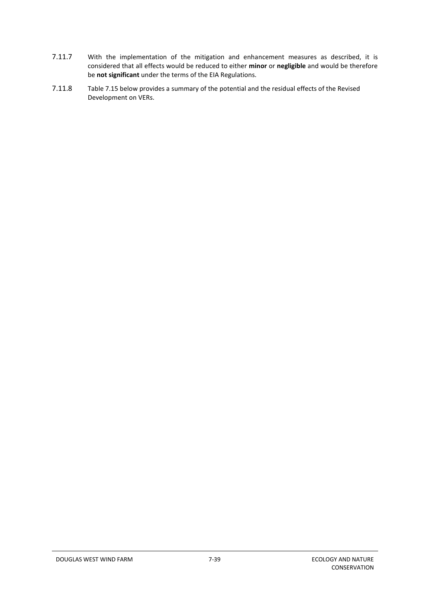- 7.11.7 With the implementation of the mitigation and enhancement measures as described, it is considered that all effects would be reduced to either **minor** or **negligible** and would be therefore be **not significant** under the terms of the EIA Regulations.
- 7.11.8 Table 7.15 below provides a summary of the potential and the residual effects of the Revised Development on VERs.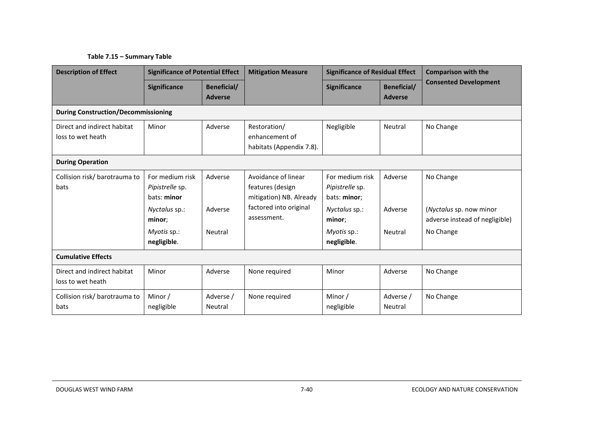#### **Table 7.15 – Summary Table**

| <b>Description of Effect</b><br><b>Significance of Potential Effect</b> |                                                                                             | <b>Mitigation Measure</b>     | <b>Significance of Residual Effect</b>                                                                      |                                                                                              | <b>Comparison with the</b>           |                                                                                     |
|-------------------------------------------------------------------------|---------------------------------------------------------------------------------------------|-------------------------------|-------------------------------------------------------------------------------------------------------------|----------------------------------------------------------------------------------------------|--------------------------------------|-------------------------------------------------------------------------------------|
|                                                                         | <b>Significance</b>                                                                         | Beneficial/<br><b>Adverse</b> |                                                                                                             | <b>Significance</b>                                                                          | <b>Beneficial/</b><br><b>Adverse</b> | <b>Consented Development</b>                                                        |
| <b>During Construction/Decommissioning</b>                              |                                                                                             |                               |                                                                                                             |                                                                                              |                                      |                                                                                     |
| Direct and indirect habitat<br>loss to wet heath                        | Minor                                                                                       | Adverse                       | Restoration/<br>enhancement of<br>habitats (Appendix 7.8).                                                  | Negligible                                                                                   | Neutral                              | No Change                                                                           |
| <b>During Operation</b>                                                 |                                                                                             |                               |                                                                                                             |                                                                                              |                                      |                                                                                     |
| Collision risk/barotrauma to<br>bats                                    | For medium risk<br>Pipistrelle sp.<br>bats: minor<br>Nyctalus sp.:<br>minor;<br>Myotis sp.: | Adverse<br>Adverse<br>Neutral | Avoidance of linear<br>features (design<br>mitigation) NB. Already<br>factored into original<br>assessment. | For medium risk<br>Pipistrelle sp.<br>bats: minor;<br>Nyctalus sp.:<br>minor;<br>Myotis sp.: | Adverse<br>Adverse<br>Neutral        | No Change<br>(Nyctalus sp. now minor<br>adverse instead of negligible)<br>No Change |
|                                                                         | negligible.                                                                                 |                               |                                                                                                             | negligible.                                                                                  |                                      |                                                                                     |
| <b>Cumulative Effects</b>                                               |                                                                                             |                               |                                                                                                             |                                                                                              |                                      |                                                                                     |
| Direct and indirect habitat<br>loss to wet heath                        | Minor                                                                                       | Adverse                       | None required                                                                                               | Minor                                                                                        | Adverse                              | No Change                                                                           |
| Collision risk/ barotrauma to<br>bats                                   | Minor /<br>negligible                                                                       | Adverse /<br>Neutral          | None required                                                                                               | Minor /<br>negligible                                                                        | Adverse /<br>Neutral                 | No Change                                                                           |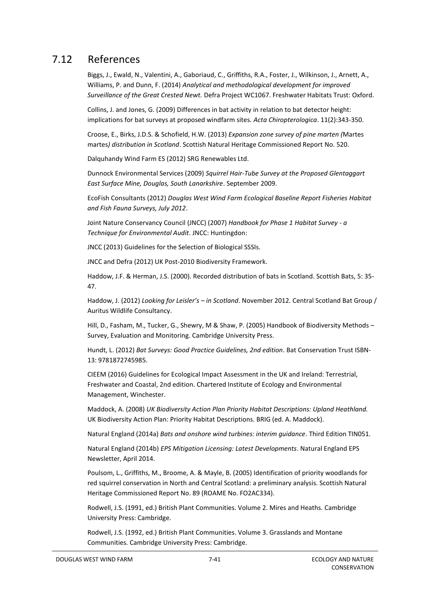# <span id="page-42-0"></span>7.12 References

Biggs, J., Ewald, N., Valentini, A., Gaboriaud, C., Griffiths, R.A., Foster, J., Wilkinson, J., Arnett, A., Williams, P. and Dunn, F. (2014) *Analytical and methodological development for improved Surveillance of the Great Crested Newt.* Defra Project WC1067. Freshwater Habitats Trust: Oxford.

Collins, J. and Jones, G. (2009) Differences in bat activity in relation to bat detector height: implications for bat surveys at proposed windfarm sites. *Acta Chiropterologica*. 11(2):343-350.

Croose, E., Birks, J.D.S. & Schofield, H.W. (2013) *Expansion zone survey of pine marten (*Martes martes*) distribution in Scotland*. Scottish Natural Heritage Commissioned Report No. 520.

Dalquhandy Wind Farm ES (2012) SRG Renewables Ltd.

Dunnock Environmental Services (2009) *Squirrel Hair-Tube Survey at the Proposed Glentaggart East Surface Mine, Douglas, South Lanarkshire*. September 2009.

EcoFish Consultants (2012) *Douglas West Wind Farm Ecological Baseline Report Fisheries Habitat and Fish Fauna Surveys, July 2012*.

Joint Nature Conservancy Council (JNCC) (2007) *Handbook for Phase 1 Habitat Survey - a Technique for Environmental Audit*. JNCC: Huntingdon:

JNCC (2013) Guidelines for the Selection of Biological SSSIs.

JNCC and Defra (2012) UK Post-2010 Biodiversity Framework.

Haddow, J.F. & Herman, J.S. (2000). Recorded distribution of bats in Scotland. Scottish Bats, 5: 35- 47.

Haddow, J. (2012) *Looking for Leisler's – in Scotland*. November 2012. Central Scotland Bat Group / Auritus Wildlife Consultancy.

Hill, D., Fasham, M., Tucker, G., Shewry, M & Shaw, P. (2005) Handbook of Biodiversity Methods – Survey, Evaluation and Monitoring. Cambridge University Press.

Hundt, L. (2012) *Bat Surveys: Good Practice Guidelines, 2nd edition*. Bat Conservation Trust ISBN-13: 9781872745985.

CIEEM (2016) Guidelines for Ecological Impact Assessment in the UK and Ireland: Terrestrial, Freshwater and Coastal, 2nd edition. Chartered Institute of Ecology and Environmental Management, Winchester.

Maddock, A. (2008) *UK Biodiversity Action Plan Priority Habitat Descriptions: Upland Heathland.* UK Biodiversity Action Plan: Priority Habitat Descriptions. BRIG (ed. A. Maddock).

Natural England (2014a) *Bats and onshore wind turbines: interim guidance*. Third Edition TIN051.

Natural England (2014b) *EPS Mitigation Licensing: Latest Developments*. Natural England EPS Newsletter, April 2014.

Poulsom, L., Griffiths, M., Broome, A. & Mayle, B. (2005) Identification of priority woodlands for red squirrel conservation in North and Central Scotland: a preliminary analysis. Scottish Natural Heritage Commissioned Report No. 89 (ROAME No. FO2AC334).

Rodwell, J.S. (1991, ed.) British Plant Communities. Volume 2. Mires and Heaths. Cambridge University Press: Cambridge.

Rodwell, J.S. (1992, ed.) British Plant Communities. Volume 3. Grasslands and Montane Communities. Cambridge University Press: Cambridge.